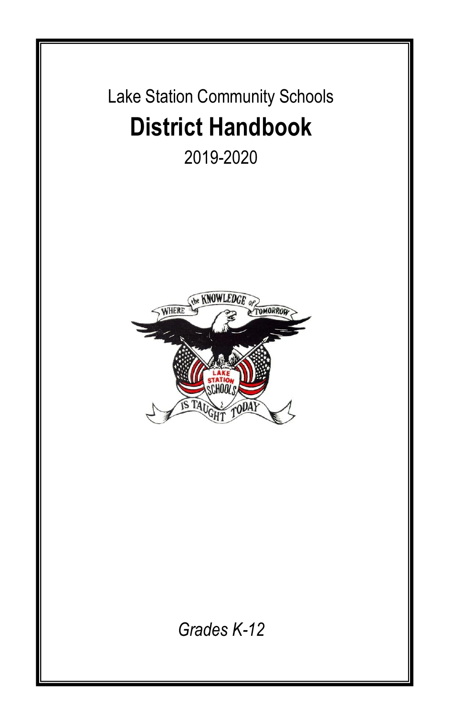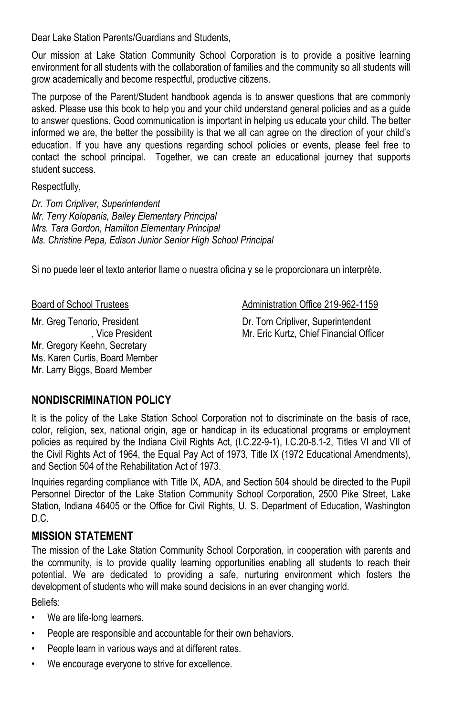Dear Lake Station Parents/Guardians and Students,

Our mission at Lake Station Community School Corporation is to provide a positive learning environment for all students with the collaboration of families and the community so all students will grow academically and become respectful, productive citizens.

The purpose of the Parent/Student handbook agenda is to answer questions that are commonly asked. Please use this book to help you and your child understand general policies and as a guide to answer questions. Good communication is important in helping us educate your child. The better informed we are, the better the possibility is that we all can agree on the direction of your child's education. If you have any questions regarding school policies or events, please feel free to contact the school principal. Together, we can create an educational journey that supports student success.

Respectfully,

*Dr. Tom Cripliver, Superintendent Mr. Terry Kolopanis, Bailey Elementary Principal Mrs. Tara Gordon, Hamilton Elementary Principal Ms. Christine Pepa, Edison Junior Senior High School Principal*

Si no puede leer el texto anterior Ilame o nuestra oficina y se le proporcionara un interprète.

Board of School Trustees **Administration Office 219-962-1159** 

Mr. Greg Tenorio, President , Vice President Mr. Gregory Keehn, Secretary Ms. Karen Curtis, Board Member Mr. Larry Biggs, Board Member

Dr. Tom Cripliver, Superintendent Mr. Eric Kurtz, Chief Financial Officer

### **NONDISCRIMINATION POLICY**

It is the policy of the Lake Station School Corporation not to discriminate on the basis of race, color, religion, sex, national origin, age or handicap in its educational programs or employment policies as required by the Indiana Civil Rights Act, (I.C.22-9-1), I.C.20-8.1-2, Titles VI and VII of the Civil Rights Act of 1964, the Equal Pay Act of 1973, Title IX (1972 Educational Amendments), and Section 504 of the Rehabilitation Act of 1973.

Inquiries regarding compliance with Title IX, ADA, and Section 504 should be directed to the Pupil Personnel Director of the Lake Station Community School Corporation, 2500 Pike Street, Lake Station, Indiana 46405 or the Office for Civil Rights, U. S. Department of Education, Washington D.C.

### **MISSION STATEMENT**

The mission of the Lake Station Community School Corporation, in cooperation with parents and the community, is to provide quality learning opportunities enabling all students to reach their potential. We are dedicated to providing a safe, nurturing environment which fosters the development of students who will make sound decisions in an ever changing world. Beliefs:

• We are life-long learners.

- People are responsible and accountable for their own behaviors.
- People learn in various ways and at different rates.
- We encourage everyone to strive for excellence.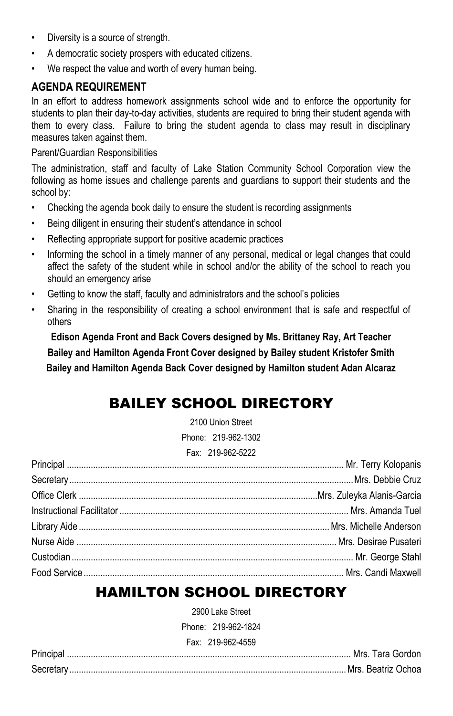- Diversity is a source of strength.
- A democratic society prospers with educated citizens.
- We respect the value and worth of every human being.

#### **AGENDA REQUIREMENT**

In an effort to address homework assignments school wide and to enforce the opportunity for students to plan their day-to-day activities, students are required to bring their student agenda with them to every class. Failure to bring the student agenda to class may result in disciplinary measures taken against them.

#### Parent/Guardian Responsibilities

The administration, staff and faculty of Lake Station Community School Corporation view the following as home issues and challenge parents and guardians to support their students and the school by:

- Checking the agenda book daily to ensure the student is recording assignments
- Being diligent in ensuring their student's attendance in school
- Reflecting appropriate support for positive academic practices
- Informing the school in a timely manner of any personal, medical or legal changes that could affect the safety of the student while in school and/or the ability of the school to reach you should an emergency arise
- Getting to know the staff, faculty and administrators and the school's policies
- Sharing in the responsibility of creating a school environment that is safe and respectful of others

**Edison Agenda Front and Back Covers designed by Ms. Brittaney Ray, Art Teacher Bailey and Hamilton Agenda Front Cover designed by Bailey student Kristofer Smith Bailey and Hamilton Agenda Back Cover designed by Hamilton student Adan Alcaraz**

# BAILEY SCHOOL DIRECTORY

2100 Union Street Phone: 219-962-1302 Fax: 219-962-5222

# HAMILTON SCHOOL DIRECTORY

2900 Lake Street

Phone: 219-962-1824

Fax: 219-962-4559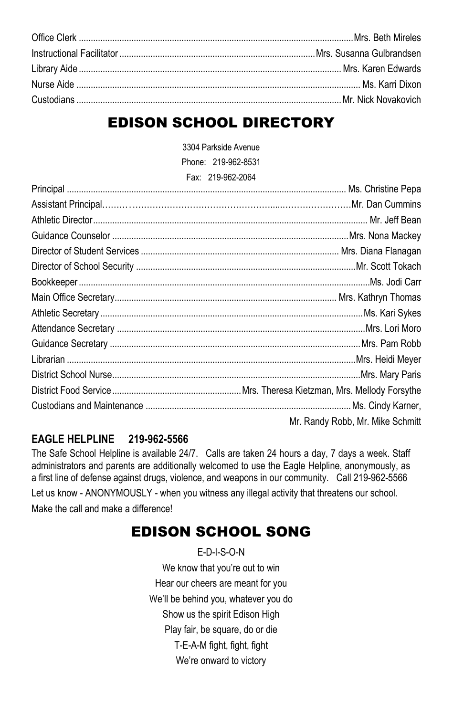# EDISON SCHOOL DIRECTORY

3304 Parkside Avenue Phone: 219-962-8531

Fax: 219-962-2064

| Mr. Randy Robb, Mr. Mike Schmitt |
|----------------------------------|

### **EAGLE HELPLINE 219-962-5566**

The Safe School Helpline is available 24/7. Calls are taken 24 hours a day, 7 days a week. Staff administrators and parents are additionally welcomed to use the Eagle Helpline, anonymously, as a first line of defense against drugs, violence, and weapons in our community. Call 219-962-5566 Let us know - ANONYMOUSLY - when you witness any illegal activity that threatens our school. Make the call and make a difference!

# EDISON SCHOOL SONG

E-D-I-S-O-N We know that you're out to win Hear our cheers are meant for you We'll be behind you, whatever you do Show us the spirit Edison High Play fair, be square, do or die T-E-A-M fight, fight, fight We're onward to victory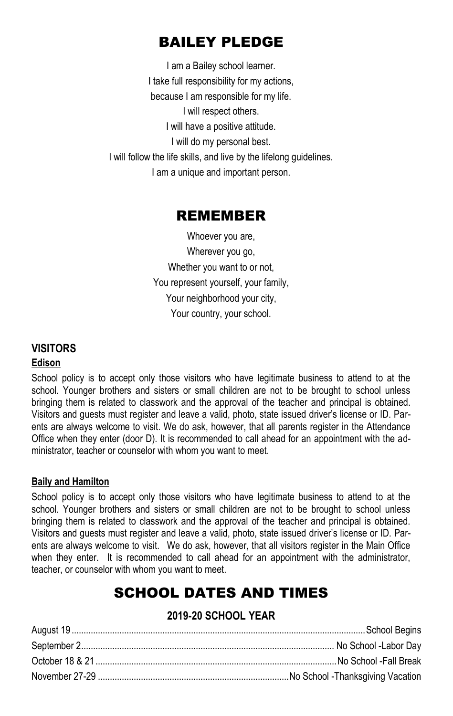# BAILEY PLEDGE

I am a Bailey school learner. I take full responsibility for my actions, because I am responsible for my life. I will respect others. I will have a positive attitude. I will do my personal best. I will follow the life skills, and live by the lifelong guidelines. I am a unique and important person.

### REMEMBER

Whoever you are, Wherever you go, Whether you want to or not, You represent yourself, your family, Your neighborhood your city, Your country, your school.

### **VISITORS**

#### **Edison**

School policy is to accept only those visitors who have legitimate business to attend to at the school. Younger brothers and sisters or small children are not to be brought to school unless bringing them is related to classwork and the approval of the teacher and principal is obtained. Visitors and guests must register and leave a valid, photo, state issued driver's license or ID. Parents are always welcome to visit. We do ask, however, that all parents register in the Attendance Office when they enter (door D). It is recommended to call ahead for an appointment with the administrator, teacher or counselor with whom you want to meet.

#### **Baily and Hamilton**

School policy is to accept only those visitors who have legitimate business to attend to at the school. Younger brothers and sisters or small children are not to be brought to school unless bringing them is related to classwork and the approval of the teacher and principal is obtained. Visitors and guests must register and leave a valid, photo, state issued driver's license or ID. Parents are always welcome to visit. We do ask, however, that all visitors register in the Main Office when they enter. It is recommended to call ahead for an appointment with the administrator, teacher, or counselor with whom you want to meet.

# SCHOOL DATES AND TIMES

### **2019-20 SCHOOL YEAR**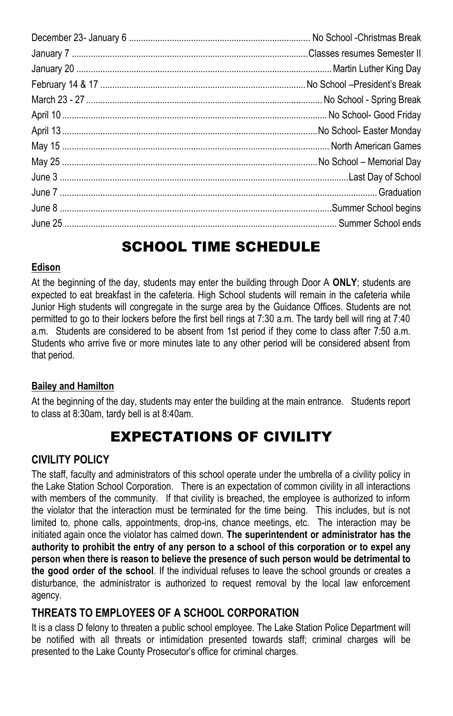# SCHOOL TIME SCHEDULE

#### **Edison**

At the beginning of the day, students may enter the building through Door A **ONLY**; students are expected to eat breakfast in the cafeteria. High School students will remain in the cafeteria while Junior High students will congregate in the surge area by the Guidance Offices. Students are not permitted to go to their lockers before the first bell rings at 7:30 a.m. The tardy bell will ring at 7:40 a.m. Students are considered to be absent from 1st period if they come to class after 7:50 a.m. Students who arrive five or more minutes late to any other period will be considered absent from that period.

#### **Bailey and Hamilton**

At the beginning of the day, students may enter the building at the main entrance. Students report to class at 8:30am, tardy bell is at 8:40am.

# EXPECTATIONS OF CIVILITY

#### **CIVILITY POLICY**

The staff, faculty and administrators of this school operate under the umbrella of a civility policy in the Lake Station School Corporation. There is an expectation of common civility in all interactions with members of the community. If that civility is breached, the employee is authorized to inform the violator that the interaction must be terminated for the time being. This includes, but is not limited to, phone calls, appointments, drop-ins, chance meetings, etc. The interaction may be initiated again once the violator has calmed down. **The superintendent or administrator has the authority to prohibit the entry of any person to a school of this corporation or to expel any person when there is reason to believe the presence of such person would be detrimental to the good order of the school**. If the individual refuses to leave the school grounds or creates a disturbance, the administrator is authorized to request removal by the local law enforcement agency.

### **THREATS TO EMPLOYEES OF A SCHOOL CORPORATION**

It is a class D felony to threaten a public school employee. The Lake Station Police Department will be notified with all threats or intimidation presented towards staff; criminal charges will be presented to the Lake County Prosecutor's office for criminal charges.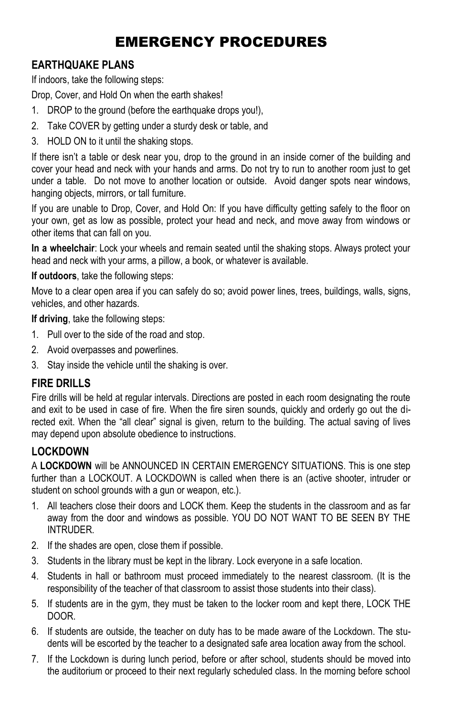# EMERGENCY PROCEDURES

### **EARTHQUAKE PLANS**

If indoors, take the following steps:

Drop, Cover, and Hold On when the earth shakes!

- 1. DROP to the ground (before the earthquake drops you!),
- 2. Take COVER by getting under a sturdy desk or table, and
- 3. HOLD ON to it until the shaking stops.

If there isn't a table or desk near you, drop to the ground in an inside corner of the building and cover your head and neck with your hands and arms. Do not try to run to another room just to get under a table. Do not move to another location or outside. Avoid danger spots near windows, hanging objects, mirrors, or tall furniture.

If you are unable to Drop, Cover, and Hold On: If you have difficulty getting safely to the floor on your own, get as low as possible, protect your head and neck, and move away from windows or other items that can fall on you.

**In a wheelchair**: Lock your wheels and remain seated until the shaking stops. Always protect your head and neck with your arms, a pillow, a book, or whatever is available.

**If outdoors**, take the following steps:

Move to a clear open area if you can safely do so; avoid power lines, trees, buildings, walls, signs, vehicles, and other hazards.

**If driving**, take the following steps:

- 1. Pull over to the side of the road and stop.
- 2. Avoid overpasses and powerlines.
- 3. Stay inside the vehicle until the shaking is over.

#### **FIRE DRILLS**

Fire drills will be held at regular intervals. Directions are posted in each room designating the route and exit to be used in case of fire. When the fire siren sounds, quickly and orderly go out the directed exit. When the "all clear" signal is given, return to the building. The actual saving of lives may depend upon absolute obedience to instructions.

#### **LOCKDOWN**

A **LOCKDOWN** will be ANNOUNCED IN CERTAIN EMERGENCY SITUATIONS. This is one step further than a LOCKOUT. A LOCKDOWN is called when there is an (active shooter, intruder or student on school grounds with a gun or weapon, etc.).

- 1. All teachers close their doors and LOCK them. Keep the students in the classroom and as far away from the door and windows as possible. YOU DO NOT WANT TO BE SEEN BY THE INTRUDER.
- 2. If the shades are open, close them if possible.
- 3. Students in the library must be kept in the library. Lock everyone in a safe location.
- 4. Students in hall or bathroom must proceed immediately to the nearest classroom. (It is the responsibility of the teacher of that classroom to assist those students into their class).
- 5. If students are in the gym, they must be taken to the locker room and kept there, LOCK THE DOOR.
- 6. If students are outside, the teacher on duty has to be made aware of the Lockdown. The students will be escorted by the teacher to a designated safe area location away from the school.
- 7. If the Lockdown is during lunch period, before or after school, students should be moved into the auditorium or proceed to their next regularly scheduled class. In the morning before school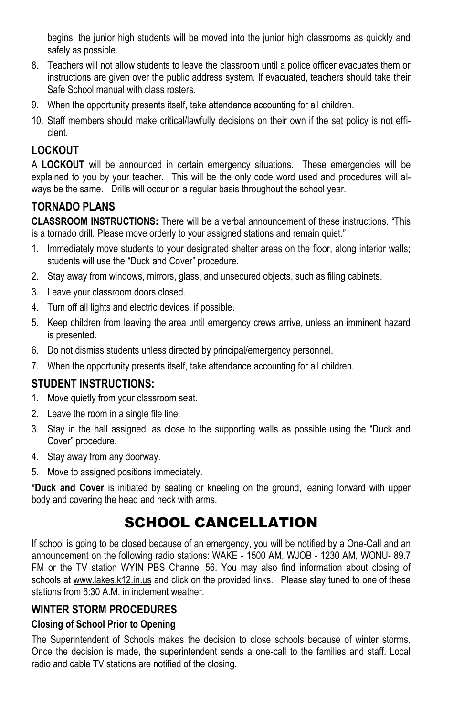begins, the junior high students will be moved into the junior high classrooms as quickly and safely as possible.

- 8. Teachers will not allow students to leave the classroom until a police officer evacuates them or instructions are given over the public address system. If evacuated, teachers should take their Safe School manual with class rosters.
- 9. When the opportunity presents itself, take attendance accounting for all children.
- 10. Staff members should make critical/lawfully decisions on their own if the set policy is not efficient.

### **LOCKOUT**

A **LOCKOUT** will be announced in certain emergency situations. These emergencies will be explained to you by your teacher. This will be the only code word used and procedures will always be the same. Drills will occur on a regular basis throughout the school year.

### **TORNADO PLANS**

**CLASSROOM INSTRUCTIONS:** There will be a verbal announcement of these instructions. "This is a tornado drill. Please move orderly to your assigned stations and remain quiet."

- 1. Immediately move students to your designated shelter areas on the floor, along interior walls; students will use the "Duck and Cover" procedure.
- 2. Stay away from windows, mirrors, glass, and unsecured objects, such as filing cabinets.
- 3. Leave your classroom doors closed.
- 4. Turn off all lights and electric devices, if possible.
- 5. Keep children from leaving the area until emergency crews arrive, unless an imminent hazard is presented.
- 6. Do not dismiss students unless directed by principal/emergency personnel.
- 7. When the opportunity presents itself, take attendance accounting for all children.

### **STUDENT INSTRUCTIONS:**

- 1. Move quietly from your classroom seat.
- 2. Leave the room in a single file line.
- 3. Stay in the hall assigned, as close to the supporting walls as possible using the "Duck and Cover" procedure.
- 4. Stay away from any doorway.
- 5. Move to assigned positions immediately.

**\*Duck and Cover** is initiated by seating or kneeling on the ground, leaning forward with upper body and covering the head and neck with arms.

# SCHOOL CANCELLATION

If school is going to be closed because of an emergency, you will be notified by a One-Call and an announcement on the following radio stations: WAKE - 1500 AM, WJOB - 1230 AM, WONU- 89.7 FM or the TV station WYIN PBS Channel 56. You may also find information about closing of schools at www.lakes.k12.in.us and click on the provided links. Please stay tuned to one of these stations from 6:30 A.M. in inclement weather.

### **WINTER STORM PROCEDURES**

### **Closing of School Prior to Opening**

The Superintendent of Schools makes the decision to close schools because of winter storms. Once the decision is made, the superintendent sends a one-call to the families and staff. Local radio and cable TV stations are notified of the closing.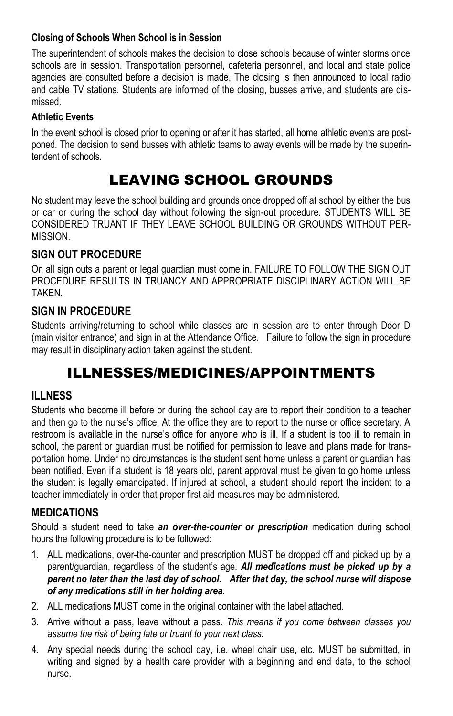#### **Closing of Schools When School is in Session**

The superintendent of schools makes the decision to close schools because of winter storms once schools are in session. Transportation personnel, cafeteria personnel, and local and state police agencies are consulted before a decision is made. The closing is then announced to local radio and cable TV stations. Students are informed of the closing, busses arrive, and students are dismissed.

#### **Athletic Events**

In the event school is closed prior to opening or after it has started, all home athletic events are postponed. The decision to send busses with athletic teams to away events will be made by the superintendent of schools.

# LEAVING SCHOOL GROUNDS

No student may leave the school building and grounds once dropped off at school by either the bus or car or during the school day without following the sign-out procedure. STUDENTS WILL BE CONSIDERED TRUANT IF THEY LEAVE SCHOOL BUILDING OR GROUNDS WITHOUT PER-MISSION.

### **SIGN OUT PROCEDURE**

On all sign outs a parent or legal guardian must come in. FAILURE TO FOLLOW THE SIGN OUT PROCEDURE RESULTS IN TRUANCY AND APPROPRIATE DISCIPLINARY ACTION WILL BE TAKEN.

### **SIGN IN PROCEDURE**

Students arriving/returning to school while classes are in session are to enter through Door D (main visitor entrance) and sign in at the Attendance Office. Failure to follow the sign in procedure may result in disciplinary action taken against the student.

# ILLNESSES/MEDICINES/APPOINTMENTS

### **ILLNESS**

Students who become ill before or during the school day are to report their condition to a teacher and then go to the nurse's office. At the office they are to report to the nurse or office secretary. A restroom is available in the nurse's office for anyone who is ill. If a student is too ill to remain in school, the parent or guardian must be notified for permission to leave and plans made for transportation home. Under no circumstances is the student sent home unless a parent or guardian has been notified. Even if a student is 18 years old, parent approval must be given to go home unless the student is legally emancipated. If injured at school, a student should report the incident to a teacher immediately in order that proper first aid measures may be administered.

### **MEDICATIONS**

Should a student need to take *an over-the-counter or prescription* medication during school hours the following procedure is to be followed:

- 1. ALL medications, over-the-counter and prescription MUST be dropped off and picked up by a parent/guardian, regardless of the student's age. *All medications must be picked up by a parent no later than the last day of school. After that day, the school nurse will dispose of any medications still in her holding area.*
- 2. ALL medications MUST come in the original container with the label attached.
- 3. Arrive without a pass, leave without a pass. *This means if you come between classes you assume the risk of being late or truant to your next class.*
- 4. Any special needs during the school day, i.e. wheel chair use, etc. MUST be submitted, in writing and signed by a health care provider with a beginning and end date, to the school nurse.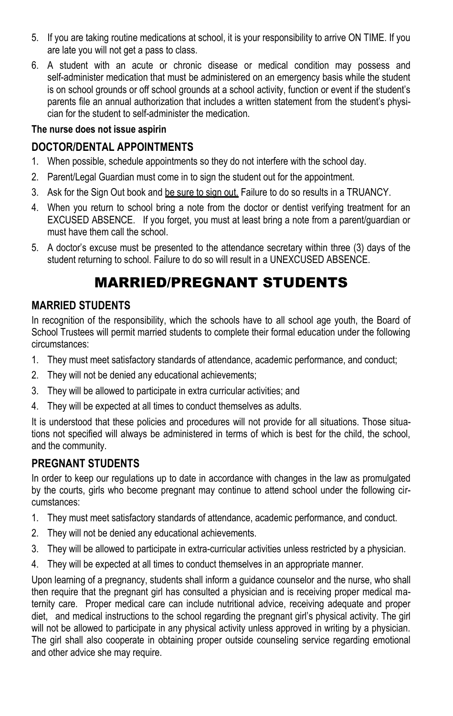- 5. If you are taking routine medications at school, it is your responsibility to arrive ON TIME. If you are late you will not get a pass to class.
- 6. A student with an acute or chronic disease or medical condition may possess and self-administer medication that must be administered on an emergency basis while the student is on school grounds or off school grounds at a school activity, function or event if the student's parents file an annual authorization that includes a written statement from the student's physician for the student to self-administer the medication.

#### **The nurse does not issue aspirin**

### **DOCTOR/DENTAL APPOINTMENTS**

- 1. When possible, schedule appointments so they do not interfere with the school day.
- 2. Parent/Legal Guardian must come in to sign the student out for the appointment.
- 3. Ask for the Sign Out book and be sure to sign out. Failure to do so results in a TRUANCY.
- 4. When you return to school bring a note from the doctor or dentist verifying treatment for an EXCUSED ABSENCE. If you forget, you must at least bring a note from a parent/guardian or must have them call the school.
- 5. A doctor's excuse must be presented to the attendance secretary within three (3) days of the student returning to school. Failure to do so will result in a UNEXCUSED ABSENCE.

# MARRIED/PREGNANT STUDENTS

### **MARRIED STUDENTS**

In recognition of the responsibility, which the schools have to all school age youth, the Board of School Trustees will permit married students to complete their formal education under the following circumstances:

- 1. They must meet satisfactory standards of attendance, academic performance, and conduct;
- 2. They will not be denied any educational achievements;
- 3. They will be allowed to participate in extra curricular activities; and
- 4. They will be expected at all times to conduct themselves as adults.

It is understood that these policies and procedures will not provide for all situations. Those situations not specified will always be administered in terms of which is best for the child, the school, and the community.

### **PREGNANT STUDENTS**

In order to keep our regulations up to date in accordance with changes in the law as promulgated by the courts, girls who become pregnant may continue to attend school under the following circumstances:

- 1. They must meet satisfactory standards of attendance, academic performance, and conduct.
- 2. They will not be denied any educational achievements.
- 3. They will be allowed to participate in extra-curricular activities unless restricted by a physician.
- 4. They will be expected at all times to conduct themselves in an appropriate manner.

Upon learning of a pregnancy, students shall inform a guidance counselor and the nurse, who shall then require that the pregnant girl has consulted a physician and is receiving proper medical maternity care. Proper medical care can include nutritional advice, receiving adequate and proper diet, and medical instructions to the school regarding the pregnant girl's physical activity. The girl will not be allowed to participate in any physical activity unless approved in writing by a physician. The girl shall also cooperate in obtaining proper outside counseling service regarding emotional and other advice she may require.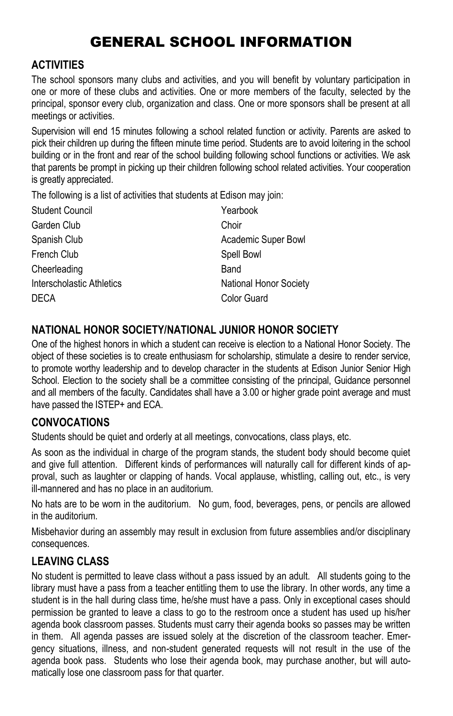# GENERAL SCHOOL INFORMATION

### **ACTIVITIES**

The school sponsors many clubs and activities, and you will benefit by voluntary participation in one or more of these clubs and activities. One or more members of the faculty, selected by the principal, sponsor every club, organization and class. One or more sponsors shall be present at all meetings or activities.

Supervision will end 15 minutes following a school related function or activity. Parents are asked to pick their children up during the fifteen minute time period. Students are to avoid loitering in the school building or in the front and rear of the school building following school functions or activities. We ask that parents be prompt in picking up their children following school related activities. Your cooperation is greatly appreciated.

The following is a list of activities that students at Edison may join:

| Yearbook               |
|------------------------|
| Choir                  |
| Academic Super Bowl    |
| Spell Bowl             |
| Band                   |
| National Honor Society |
| Color Guard            |
|                        |

### **NATIONAL HONOR SOCIETY/NATIONAL JUNIOR HONOR SOCIETY**

One of the highest honors in which a student can receive is election to a National Honor Society. The object of these societies is to create enthusiasm for scholarship, stimulate a desire to render service, to promote worthy leadership and to develop character in the students at Edison Junior Senior High School. Election to the society shall be a committee consisting of the principal, Guidance personnel and all members of the faculty. Candidates shall have a 3.00 or higher grade point average and must have passed the ISTEP+ and ECA.

### **CONVOCATIONS**

Students should be quiet and orderly at all meetings, convocations, class plays, etc.

As soon as the individual in charge of the program stands, the student body should become quiet and give full attention. Different kinds of performances will naturally call for different kinds of approval, such as laughter or clapping of hands. Vocal applause, whistling, calling out, etc., is very ill-mannered and has no place in an auditorium.

No hats are to be worn in the auditorium. No gum, food, beverages, pens, or pencils are allowed in the auditorium.

Misbehavior during an assembly may result in exclusion from future assemblies and/or disciplinary consequences.

### **LEAVING CLASS**

No student is permitted to leave class without a pass issued by an adult. All students going to the library must have a pass from a teacher entitling them to use the library. In other words, any time a student is in the hall during class time, he/she must have a pass. Only in exceptional cases should permission be granted to leave a class to go to the restroom once a student has used up his/her agenda book classroom passes. Students must carry their agenda books so passes may be written in them. All agenda passes are issued solely at the discretion of the classroom teacher. Emergency situations, illness, and non-student generated requests will not result in the use of the agenda book pass. Students who lose their agenda book, may purchase another, but will automatically lose one classroom pass for that quarter.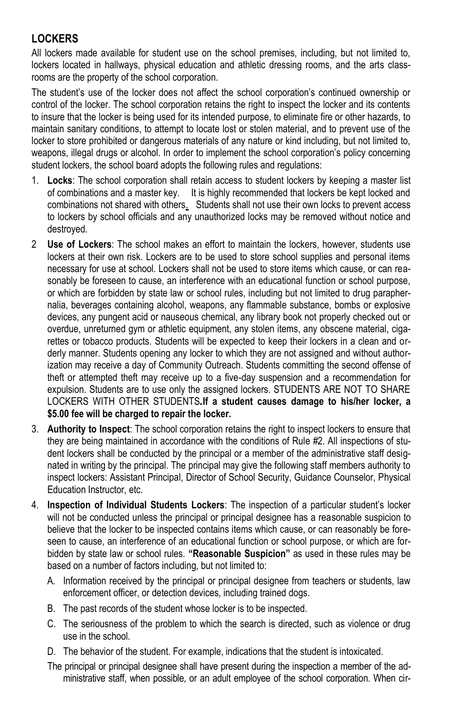### **LOCKERS**

All lockers made available for student use on the school premises, including, but not limited to, lockers located in hallways, physical education and athletic dressing rooms, and the arts classrooms are the property of the school corporation.

The student's use of the locker does not affect the school corporation's continued ownership or control of the locker. The school corporation retains the right to inspect the locker and its contents to insure that the locker is being used for its intended purpose, to eliminate fire or other hazards, to maintain sanitary conditions, to attempt to locate lost or stolen material, and to prevent use of the locker to store prohibited or dangerous materials of any nature or kind including, but not limited to, weapons, illegal drugs or alcohol. In order to implement the school corporation's policy concerning student lockers, the school board adopts the following rules and regulations:

- 1. **Locks**: The school corporation shall retain access to student lockers by keeping a master list of combinations and a master key. It is highly recommended that lockers be kept locked and combinations not shared with others. Students shall not use their own locks to prevent access to lockers by school officials and any unauthorized locks may be removed without notice and destroyed.
- 2 **Use of Lockers**: The school makes an effort to maintain the lockers, however, students use lockers at their own risk. Lockers are to be used to store school supplies and personal items necessary for use at school. Lockers shall not be used to store items which cause, or can reasonably be foreseen to cause, an interference with an educational function or school purpose, or which are forbidden by state law or school rules, including but not limited to drug paraphernalia, beverages containing alcohol, weapons, any flammable substance, bombs or explosive devices, any pungent acid or nauseous chemical, any library book not properly checked out or overdue, unreturned gym or athletic equipment, any stolen items, any obscene material, cigarettes or tobacco products. Students will be expected to keep their lockers in a clean and orderly manner. Students opening any locker to which they are not assigned and without authorization may receive a day of Community Outreach. Students committing the second offense of theft or attempted theft may receive up to a five-day suspension and a recommendation for expulsion. Students are to use only the assigned lockers. STUDENTS ARE NOT TO SHARE LOCKERS WITH OTHER STUDENTS*.***If a student causes damage to his/her locker, a \$5.00 fee will be charged to repair the locker.**
- 3. **Authority to Inspect**: The school corporation retains the right to inspect lockers to ensure that they are being maintained in accordance with the conditions of Rule #2. All inspections of student lockers shall be conducted by the principal or a member of the administrative staff designated in writing by the principal. The principal may give the following staff members authority to inspect lockers: Assistant Principal, Director of School Security, Guidance Counselor, Physical Education Instructor, etc.
- 4. **Inspection of Individual Students Lockers**: The inspection of a particular student's locker will not be conducted unless the principal or principal designee has a reasonable suspicion to believe that the locker to be inspected contains items which cause, or can reasonably be foreseen to cause, an interference of an educational function or school purpose, or which are forbidden by state law or school rules. **"Reasonable Suspicion"** as used in these rules may be based on a number of factors including, but not limited to:
	- A. Information received by the principal or principal designee from teachers or students, law enforcement officer, or detection devices, including trained dogs.
	- B. The past records of the student whose locker is to be inspected.
	- C. The seriousness of the problem to which the search is directed, such as violence or drug use in the school.
	- D. The behavior of the student. For example, indications that the student is intoxicated.
	- The principal or principal designee shall have present during the inspection a member of the administrative staff, when possible, or an adult employee of the school corporation. When cir-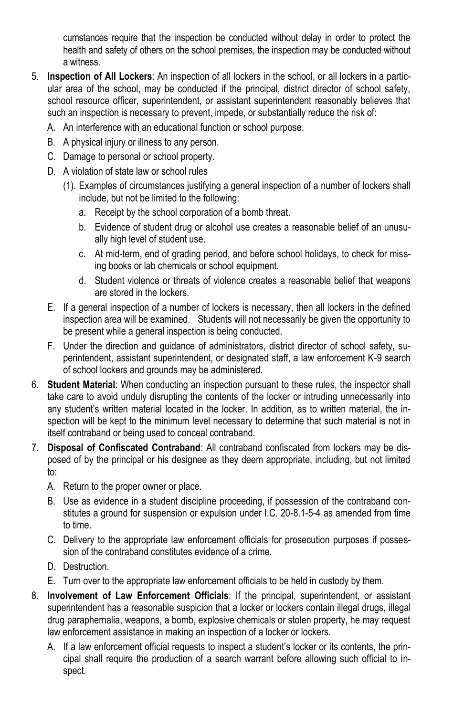cumstances require that the inspection be conducted without delay in order to protect the health and safety of others on the school premises, the inspection may be conducted without a witness.

- 5. **Inspection of All Lockers**: An inspection of all lockers in the school, or all lockers in a particular area of the school, may be conducted if the principal, district director of school safety, school resource officer, superintendent, or assistant superintendent reasonably believes that such an inspection is necessary to prevent, impede, or substantially reduce the risk of:
	- A. An interference with an educational function or school purpose.
	- B. A physical injury or illness to any person.
	- C. Damage to personal or school property.
	- D. A violation of state law or school rules
		- (1). Examples of circumstances justifying a general inspection of a number of lockers shall include, but not be limited to the following:
			- a. Receipt by the school corporation of a bomb threat.
			- b. Evidence of student drug or alcohol use creates a reasonable belief of an unusually high level of student use.
			- c. At mid-term, end of grading period, and before school holidays, to check for missing books or lab chemicals or school equipment.
			- d. Student violence or threats of violence creates a reasonable belief that weapons are stored in the lockers.
	- E. If a general inspection of a number of lockers is necessary, then all lockers in the defined inspection area will be examined. Students will not necessarily be given the opportunity to be present while a general inspection is being conducted.
	- F. Under the direction and guidance of administrators, district director of school safety, superintendent, assistant superintendent, or designated staff, a law enforcement K-9 search of school lockers and grounds may be administered.
- 6. **Student Material**: When conducting an inspection pursuant to these rules, the inspector shall take care to avoid unduly disrupting the contents of the locker or intruding unnecessarily into any student's written material located in the locker. In addition, as to written material, the inspection will be kept to the minimum level necessary to determine that such material is not in itself contraband or being used to conceal contraband.
- 7. **Disposal of Confiscated Contraband**: All contraband confiscated from lockers may be disposed of by the principal or his designee as they deem appropriate, including, but not limited to:
	- A. Return to the proper owner or place.
	- B. Use as evidence in a student discipline proceeding, if possession of the contraband constitutes a ground for suspension or expulsion under I.C. 20-8.1-5-4 as amended from time to time.
	- C. Delivery to the appropriate law enforcement officials for prosecution purposes if possession of the contraband constitutes evidence of a crime.
	- D. Destruction.
	- E. Turn over to the appropriate law enforcement officials to be held in custody by them.
- 8. **Involvement of Law Enforcement Officials**: If the principal, superintendent, or assistant superintendent has a reasonable suspicion that a locker or lockers contain illegal drugs, illegal drug paraphernalia, weapons, a bomb, explosive chemicals or stolen property, he may request law enforcement assistance in making an inspection of a locker or lockers.
	- A. If a law enforcement official requests to inspect a student's locker or its contents, the principal shall require the production of a search warrant before allowing such official to inspect.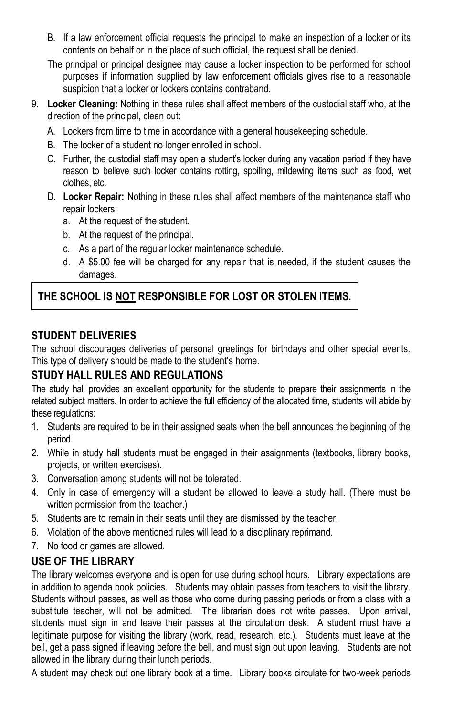- B. If a law enforcement official requests the principal to make an inspection of a locker or its contents on behalf or in the place of such official, the request shall be denied.
- The principal or principal designee may cause a locker inspection to be performed for school purposes if information supplied by law enforcement officials gives rise to a reasonable suspicion that a locker or lockers contains contraband.
- 9. **Locker Cleaning:** Nothing in these rules shall affect members of the custodial staff who, at the direction of the principal, clean out:
	- A. Lockers from time to time in accordance with a general housekeeping schedule.
	- B. The locker of a student no longer enrolled in school.
	- C. Further, the custodial staff may open a student's locker during any vacation period if they have reason to believe such locker contains rotting, spoiling, mildewing items such as food, wet clothes, etc.
	- D. **Locker Repair:** Nothing in these rules shall affect members of the maintenance staff who repair lockers:
		- a. At the request of the student.
		- b. At the request of the principal.
		- c. As a part of the regular locker maintenance schedule.
		- d. A \$5.00 fee will be charged for any repair that is needed, if the student causes the damages.

### **THE SCHOOL IS NOT RESPONSIBLE FOR LOST OR STOLEN ITEMS.**

### **STUDENT DELIVERIES**

The school discourages deliveries of personal greetings for birthdays and other special events. This type of delivery should be made to the student's home.

### **STUDY HALL RULES AND REGULATIONS**

The study hall provides an excellent opportunity for the students to prepare their assignments in the related subject matters. In order to achieve the full efficiency of the allocated time, students will abide by these regulations:

- 1. Students are required to be in their assigned seats when the bell announces the beginning of the period.
- 2. While in study hall students must be engaged in their assignments (textbooks, library books, projects, or written exercises).
- 3. Conversation among students will not be tolerated.
- 4. Only in case of emergency will a student be allowed to leave a study hall. (There must be written permission from the teacher.)
- 5. Students are to remain in their seats until they are dismissed by the teacher.
- 6. Violation of the above mentioned rules will lead to a disciplinary reprimand.
- 7. No food or games are allowed.

#### **USE OF THE LIBRARY**

The library welcomes everyone and is open for use during school hours. Library expectations are in addition to agenda book policies. Students may obtain passes from teachers to visit the library. Students without passes, as well as those who come during passing periods or from a class with a substitute teacher, will not be admitted. The librarian does not write passes. Upon arrival, students must sign in and leave their passes at the circulation desk. A student must have a legitimate purpose for visiting the library (work, read, research, etc.). Students must leave at the bell, get a pass signed if leaving before the bell, and must sign out upon leaving. Students are not allowed in the library during their lunch periods.

A student may check out one library book at a time. Library books circulate for two-week periods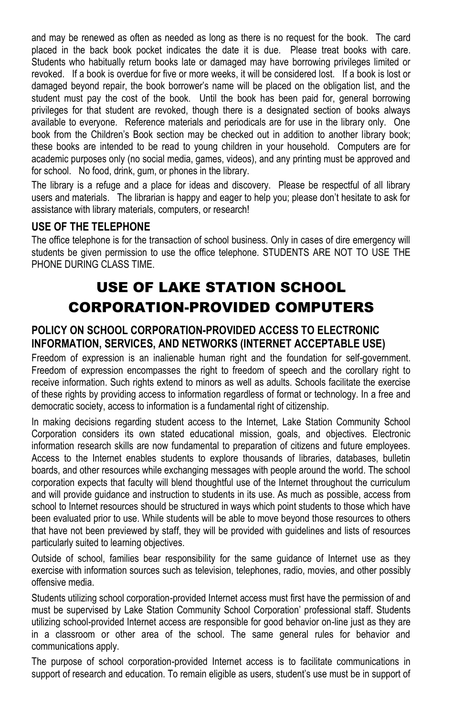and may be renewed as often as needed as long as there is no request for the book. The card placed in the back book pocket indicates the date it is due. Please treat books with care. Students who habitually return books late or damaged may have borrowing privileges limited or revoked. If a book is overdue for five or more weeks, it will be considered lost. If a book is lost or damaged beyond repair, the book borrower's name will be placed on the obligation list, and the student must pay the cost of the book. Until the book has been paid for, general borrowing privileges for that student are revoked, though there is a designated section of books always available to everyone. Reference materials and periodicals are for use in the library only. One book from the Children's Book section may be checked out in addition to another library book; these books are intended to be read to young children in your household. Computers are for academic purposes only (no social media, games, videos), and any printing must be approved and for school. No food, drink, gum, or phones in the library.

The library is a refuge and a place for ideas and discovery. Please be respectful of all library users and materials. The librarian is happy and eager to help you; please don't hesitate to ask for assistance with library materials, computers, or research!

#### **USE OF THE TELEPHONE**

The office telephone is for the transaction of school business. Only in cases of dire emergency will students be given permission to use the office telephone. STUDENTS ARE NOT TO USE THE PHONE DURING CLASS TIME.

# USE OF LAKE STATION SCHOOL CORPORATION-PROVIDED COMPUTERS

#### **POLICY ON SCHOOL CORPORATION-PROVIDED ACCESS TO ELECTRONIC INFORMATION, SERVICES, AND NETWORKS (INTERNET ACCEPTABLE USE)**

Freedom of expression is an inalienable human right and the foundation for self-government. Freedom of expression encompasses the right to freedom of speech and the corollary right to receive information. Such rights extend to minors as well as adults. Schools facilitate the exercise of these rights by providing access to information regardless of format or technology. In a free and democratic society, access to information is a fundamental right of citizenship.

In making decisions regarding student access to the Internet, Lake Station Community School Corporation considers its own stated educational mission, goals, and objectives. Electronic information research skills are now fundamental to preparation of citizens and future employees. Access to the Internet enables students to explore thousands of libraries, databases, bulletin boards, and other resources while exchanging messages with people around the world. The school corporation expects that faculty will blend thoughtful use of the Internet throughout the curriculum and will provide guidance and instruction to students in its use. As much as possible, access from school to Internet resources should be structured in ways which point students to those which have been evaluated prior to use. While students will be able to move beyond those resources to others that have not been previewed by staff, they will be provided with guidelines and lists of resources particularly suited to learning objectives.

Outside of school, families bear responsibility for the same guidance of Internet use as they exercise with information sources such as television, telephones, radio, movies, and other possibly offensive media.

Students utilizing school corporation-provided Internet access must first have the permission of and must be supervised by Lake Station Community School Corporation' professional staff. Students utilizing school-provided Internet access are responsible for good behavior on-line just as they are in a classroom or other area of the school. The same general rules for behavior and communications apply.

The purpose of school corporation-provided Internet access is to facilitate communications in support of research and education. To remain eligible as users, student's use must be in support of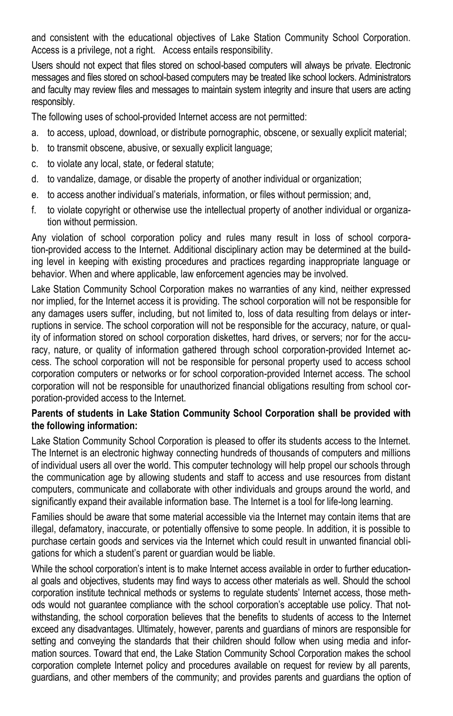and consistent with the educational objectives of Lake Station Community School Corporation. Access is a privilege, not a right. Access entails responsibility.

Users should not expect that files stored on school-based computers will always be private. Electronic messages and files stored on school-based computers may be treated like school lockers. Administrators and faculty may review files and messages to maintain system integrity and insure that users are acting responsibly.

The following uses of school-provided Internet access are not permitted:

- a. to access, upload, download, or distribute pornographic, obscene, or sexually explicit material;
- b. to transmit obscene, abusive, or sexually explicit language;
- c. to violate any local, state, or federal statute;
- d. to vandalize, damage, or disable the property of another individual or organization;
- e. to access another individual's materials, information, or files without permission; and,
- f. to violate copyright or otherwise use the intellectual property of another individual or organization without permission.

Any violation of school corporation policy and rules many result in loss of school corporation-provided access to the Internet. Additional disciplinary action may be determined at the building level in keeping with existing procedures and practices regarding inappropriate language or behavior. When and where applicable, law enforcement agencies may be involved.

Lake Station Community School Corporation makes no warranties of any kind, neither expressed nor implied, for the Internet access it is providing. The school corporation will not be responsible for any damages users suffer, including, but not limited to, loss of data resulting from delays or interruptions in service. The school corporation will not be responsible for the accuracy, nature, or quality of information stored on school corporation diskettes, hard drives, or servers; nor for the accuracy, nature, or quality of information gathered through school corporation-provided Internet access. The school corporation will not be responsible for personal property used to access school corporation computers or networks or for school corporation-provided Internet access. The school corporation will not be responsible for unauthorized financial obligations resulting from school corporation-provided access to the Internet.

#### **Parents of students in Lake Station Community School Corporation shall be provided with the following information:**

Lake Station Community School Corporation is pleased to offer its students access to the Internet. The Internet is an electronic highway connecting hundreds of thousands of computers and millions of individual users all over the world. This computer technology will help propel our schools through the communication age by allowing students and staff to access and use resources from distant computers, communicate and collaborate with other individuals and groups around the world, and significantly expand their available information base. The Internet is a tool for life-long learning.

Families should be aware that some material accessible via the Internet may contain items that are illegal, defamatory, inaccurate, or potentially offensive to some people. In addition, it is possible to purchase certain goods and services via the Internet which could result in unwanted financial obligations for which a student's parent or guardian would be liable.

While the school corporation's intent is to make Internet access available in order to further educational goals and objectives, students may find ways to access other materials as well. Should the school corporation institute technical methods or systems to regulate students' Internet access, those methods would not guarantee compliance with the school corporation's acceptable use policy. That notwithstanding, the school corporation believes that the benefits to students of access to the Internet exceed any disadvantages. Ultimately, however, parents and guardians of minors are responsible for setting and conveying the standards that their children should follow when using media and information sources. Toward that end, the Lake Station Community School Corporation makes the school corporation complete Internet policy and procedures available on request for review by all parents, guardians, and other members of the community; and provides parents and guardians the option of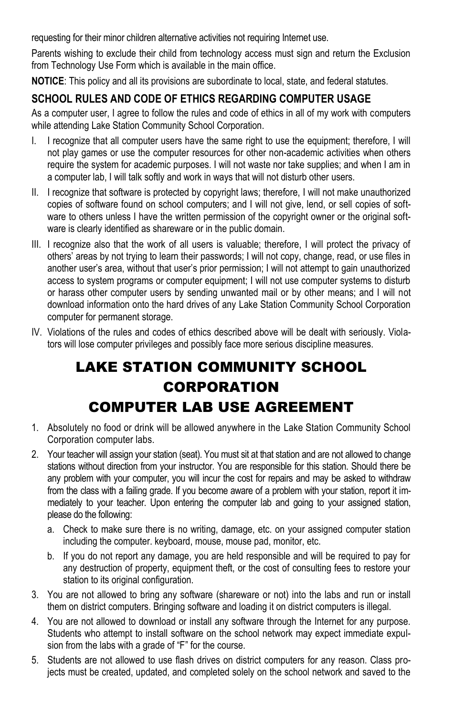requesting for their minor children alternative activities not requiring Internet use.

Parents wishing to exclude their child from technology access must sign and return the Exclusion from Technology Use Form which is available in the main office.

**NOTICE**: This policy and all its provisions are subordinate to local, state, and federal statutes.

### **SCHOOL RULES AND CODE OF ETHICS REGARDING COMPUTER USAGE**

As a computer user, I agree to follow the rules and code of ethics in all of my work with computers while attending Lake Station Community School Corporation.

- I. I recognize that all computer users have the same right to use the equipment; therefore, I will not play games or use the computer resources for other non-academic activities when others require the system for academic purposes. I will not waste nor take supplies; and when I am in a computer lab, I will talk softly and work in ways that will not disturb other users.
- II. I recognize that software is protected by copyright laws; therefore, I will not make unauthorized copies of software found on school computers; and I will not give, lend, or sell copies of software to others unless I have the written permission of the copyright owner or the original software is clearly identified as shareware or in the public domain.
- III. I recognize also that the work of all users is valuable; therefore, I will protect the privacy of others' areas by not trying to learn their passwords; I will not copy, change, read, or use files in another user's area, without that user's prior permission; I will not attempt to gain unauthorized access to system programs or computer equipment; I will not use computer systems to disturb or harass other computer users by sending unwanted mail or by other means; and I will not download information onto the hard drives of any Lake Station Community School Corporation computer for permanent storage.
- IV. Violations of the rules and codes of ethics described above will be dealt with seriously. Violators will lose computer privileges and possibly face more serious discipline measures.

# LAKE STATION COMMUNITY SCHOOL CORPORATION COMPUTER LAB USE AGREEMENT

- 1. Absolutely no food or drink will be allowed anywhere in the Lake Station Community School Corporation computer labs.
- 2. Your teacher will assign your station (seat). You must sit at that station and are not allowed to change stations without direction from your instructor. You are responsible for this station. Should there be any problem with your computer, you will incur the cost for repairs and may be asked to withdraw from the class with a failing grade. If you become aware of a problem with your station, report it immediately to your teacher. Upon entering the computer lab and going to your assigned station, please do the following:
	- a. Check to make sure there is no writing, damage, etc. on your assigned computer station including the computer. keyboard, mouse, mouse pad, monitor, etc.
	- b. If you do not report any damage, you are held responsible and will be required to pay for any destruction of property, equipment theft, or the cost of consulting fees to restore your station to its original configuration.
- 3. You are not allowed to bring any software (shareware or not) into the labs and run or install them on district computers. Bringing software and loading it on district computers is illegal.
- 4. You are not allowed to download or install any software through the Internet for any purpose. Students who attempt to install software on the school network may expect immediate expulsion from the labs with a grade of "F" for the course.
- 5. Students are not allowed to use flash drives on district computers for any reason. Class projects must be created, updated, and completed solely on the school network and saved to the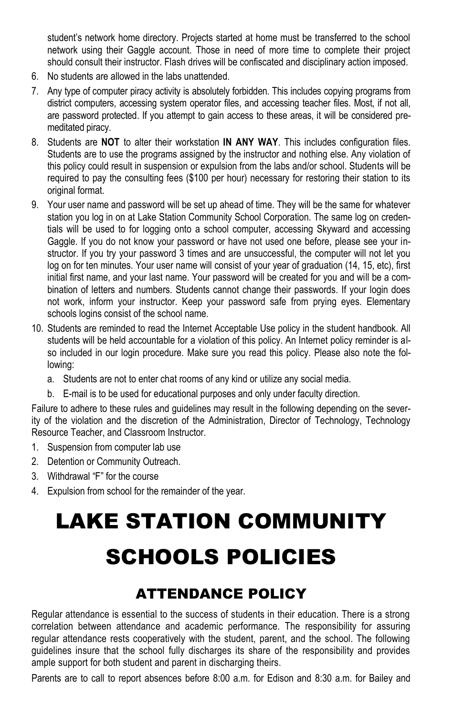student's network home directory. Projects started at home must be transferred to the school network using their Gaggle account. Those in need of more time to complete their project should consult their instructor. Flash drives will be confiscated and disciplinary action imposed.

- 6. No students are allowed in the labs unattended.
- 7. Any type of computer piracy activity is absolutely forbidden. This includes copying programs from district computers, accessing system operator files, and accessing teacher files. Most, if not all, are password protected. If you attempt to gain access to these areas, it will be considered premeditated piracy.
- 8. Students are **NOT** to alter their workstation **IN ANY WAY**. This includes configuration files. Students are to use the programs assigned by the instructor and nothing else. Any violation of this policy could result in suspension or expulsion from the labs and/or school. Students will be required to pay the consulting fees (\$100 per hour) necessary for restoring their station to its original format.
- 9. Your user name and password will be set up ahead of time. They will be the same for whatever station you log in on at Lake Station Community School Corporation. The same log on credentials will be used to for logging onto a school computer, accessing Skyward and accessing Gaggle. If you do not know your password or have not used one before, please see your instructor. If you try your password 3 times and are unsuccessful, the computer will not let you log on for ten minutes. Your user name will consist of your year of graduation (14, 15, etc), first initial first name, and your last name. Your password will be created for you and will be a combination of letters and numbers. Students cannot change their passwords. If your login does not work, inform your instructor. Keep your password safe from prying eyes. Elementary schools logins consist of the school name.
- 10. Students are reminded to read the Internet Acceptable Use policy in the student handbook. All students will be held accountable for a violation of this policy. An Internet policy reminder is also included in our login procedure. Make sure you read this policy. Please also note the following:
	- a. Students are not to enter chat rooms of any kind or utilize any social media.
	- b. E-mail is to be used for educational purposes and only under faculty direction.

Failure to adhere to these rules and guidelines may result in the following depending on the severity of the violation and the discretion of the Administration, Director of Technology, Technology Resource Teacher, and Classroom Instructor.

- 1. Suspension from computer lab use
- 2. Detention or Community Outreach.
- 3. Withdrawal "F" for the course
- 4. Expulsion from school for the remainder of the year.

# LAKE STATION COMMUNITY SCHOOLS POLICIES

# ATTENDANCE POLICY

Regular attendance is essential to the success of students in their education. There is a strong correlation between attendance and academic performance. The responsibility for assuring regular attendance rests cooperatively with the student, parent, and the school. The following guidelines insure that the school fully discharges its share of the responsibility and provides ample support for both student and parent in discharging theirs.

Parents are to call to report absences before 8:00 a.m. for Edison and 8:30 a.m. for Bailey and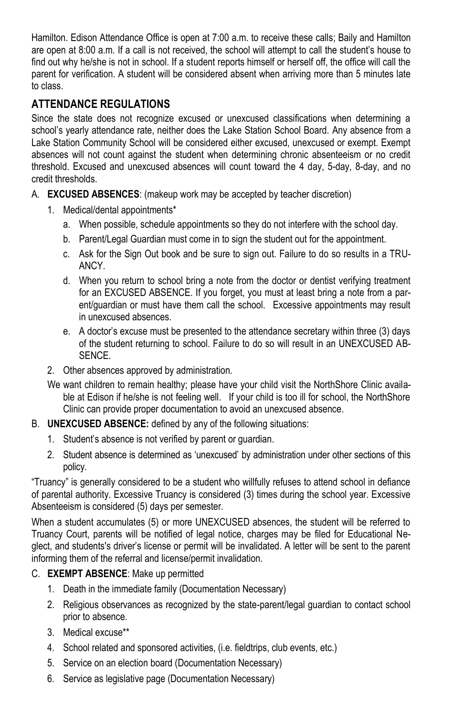Hamilton. Edison Attendance Office is open at 7:00 a.m. to receive these calls; Baily and Hamilton are open at 8:00 a.m. If a call is not received, the school will attempt to call the student's house to find out why he/she is not in school. If a student reports himself or herself off, the office will call the parent for verification. A student will be considered absent when arriving more than 5 minutes late to class.

### **ATTENDANCE REGULATIONS**

Since the state does not recognize excused or unexcused classifications when determining a school's yearly attendance rate, neither does the Lake Station School Board. Any absence from a Lake Station Community School will be considered either excused, unexcused or exempt. Exempt absences will not count against the student when determining chronic absenteeism or no credit threshold. Excused and unexcused absences will count toward the 4 day, 5-day, 8-day, and no credit thresholds.

- A. **EXCUSED ABSENCES**: (makeup work may be accepted by teacher discretion)
	- 1. Medical/dental appointments\*
		- a. When possible, schedule appointments so they do not interfere with the school day.
		- b. Parent/Legal Guardian must come in to sign the student out for the appointment.
		- c. Ask for the Sign Out book and be sure to sign out. Failure to do so results in a TRU-ANCY.
		- d. When you return to school bring a note from the doctor or dentist verifying treatment for an EXCUSED ABSENCE. If you forget, you must at least bring a note from a parent/guardian or must have them call the school. Excessive appointments may result in unexcused absences.
		- e. A doctor's excuse must be presented to the attendance secretary within three (3) days of the student returning to school. Failure to do so will result in an UNEXCUSED AB-**SENCE**
	- 2. Other absences approved by administration.
	- We want children to remain healthy; please have your child visit the NorthShore Clinic available at Edison if he/she is not feeling well. If your child is too ill for school, the NorthShore Clinic can provide proper documentation to avoid an unexcused absence.
- B. **UNEXCUSED ABSENCE:** defined by any of the following situations:
	- 1. Student's absence is not verified by parent or guardian.
	- 2. Student absence is determined as 'unexcused' by administration under other sections of this policy.

"Truancy" is generally considered to be a student who willfully refuses to attend school in defiance of parental authority. Excessive Truancy is considered (3) times during the school year. Excessive Absenteeism is considered (5) days per semester.

When a student accumulates (5) or more UNEXCUSED absences, the student will be referred to Truancy Court, parents will be notified of legal notice, charges may be filed for Educational Neglect, and students's driver's license or permit will be invalidated. A letter will be sent to the parent informing them of the referral and license/permit invalidation.

#### C. **EXEMPT ABSENCE**: Make up permitted

- 1. Death in the immediate family (Documentation Necessary)
- 2. Religious observances as recognized by the state-parent/legal guardian to contact school prior to absence.
- 3. Medical excuse\*\*
- 4. School related and sponsored activities, (i.e. fieldtrips, club events, etc.)
- 5. Service on an election board (Documentation Necessary)
- 6. Service as legislative page (Documentation Necessary)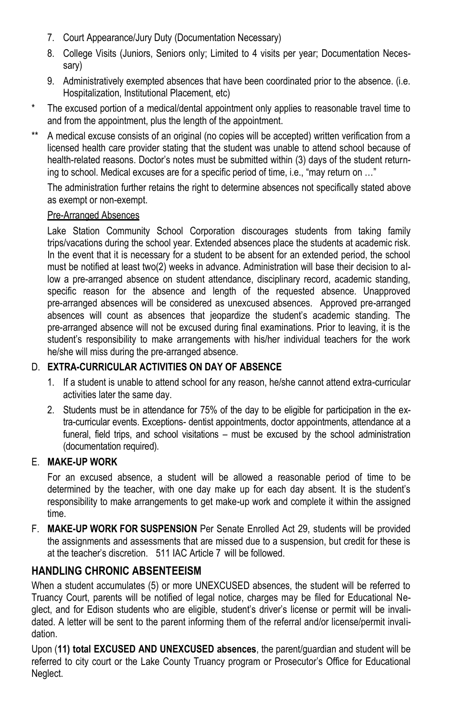- 7. Court Appearance/Jury Duty (Documentation Necessary)
- 8. College Visits (Juniors, Seniors only; Limited to 4 visits per year; Documentation Necessary)
- 9. Administratively exempted absences that have been coordinated prior to the absence. (i.e. Hospitalization, Institutional Placement, etc)
- \* The excused portion of a medical/dental appointment only applies to reasonable travel time to and from the appointment, plus the length of the appointment.
- \*\* A medical excuse consists of an original (no copies will be accepted) written verification from a licensed health care provider stating that the student was unable to attend school because of health-related reasons. Doctor's notes must be submitted within (3) days of the student returning to school. Medical excuses are for a specific period of time, i.e., "may return on …"

The administration further retains the right to determine absences not specifically stated above as exempt or non-exempt.

#### Pre-Arranged Absences

Lake Station Community School Corporation discourages students from taking family trips/vacations during the school year. Extended absences place the students at academic risk. In the event that it is necessary for a student to be absent for an extended period, the school must be notified at least two(2) weeks in advance. Administration will base their decision to allow a pre-arranged absence on student attendance, disciplinary record, academic standing, specific reason for the absence and length of the requested absence. Unapproved pre-arranged absences will be considered as unexcused absences. Approved pre-arranged absences will count as absences that jeopardize the student's academic standing. The pre-arranged absence will not be excused during final examinations. Prior to leaving, it is the student's responsibility to make arrangements with his/her individual teachers for the work he/she will miss during the pre-arranged absence.

#### D. **EXTRA-CURRICULAR ACTIVITIES ON DAY OF ABSENCE**

- 1. If a student is unable to attend school for any reason, he/she cannot attend extra-curricular activities later the same day.
- 2. Students must be in attendance for 75% of the day to be eligible for participation in the extra-curricular events. Exceptions- dentist appointments, doctor appointments, attendance at a funeral, field trips, and school visitations – must be excused by the school administration (documentation required).

#### E. **MAKE-UP WORK**

For an excused absence, a student will be allowed a reasonable period of time to be determined by the teacher, with one day make up for each day absent. It is the student's responsibility to make arrangements to get make-up work and complete it within the assigned time.

F. **MAKE-UP WORK FOR SUSPENSION** Per Senate Enrolled Act 29, students will be provided the assignments and assessments that are missed due to a suspension, but credit for these is at the teacher's discretion. 511 IAC Article 7 will be followed.

### **HANDLING CHRONIC ABSENTEEISM**

When a student accumulates (5) or more UNEXCUSED absences, the student will be referred to Truancy Court, parents will be notified of legal notice, charges may be filed for Educational Neglect, and for Edison students who are eligible, student's driver's license or permit will be invalidated. A letter will be sent to the parent informing them of the referral and/or license/permit invalidation.

Upon (**11) total EXCUSED AND UNEXCUSED absences**, the parent/guardian and student will be referred to city court or the Lake County Truancy program or Prosecutor's Office for Educational Neglect.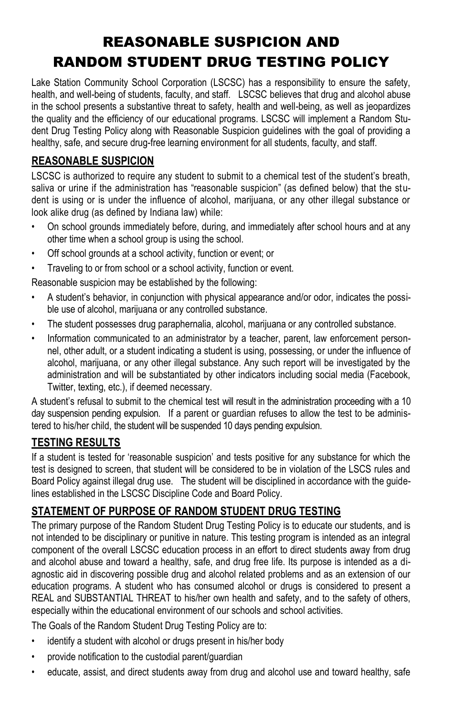# REASONABLE SUSPICION AND RANDOM STUDENT DRUG TESTING POLICY

Lake Station Community School Corporation (LSCSC) has a responsibility to ensure the safety, health, and well-being of students, faculty, and staff. LSCSC believes that drug and alcohol abuse in the school presents a substantive threat to safety, health and well-being, as well as jeopardizes the quality and the efficiency of our educational programs. LSCSC will implement a Random Student Drug Testing Policy along with Reasonable Suspicion guidelines with the goal of providing a healthy, safe, and secure drug-free learning environment for all students, faculty, and staff.

### **REASONABLE SUSPICION**

LSCSC is authorized to require any student to submit to a chemical test of the student's breath, saliva or urine if the administration has "reasonable suspicion" (as defined below) that the student is using or is under the influence of alcohol, marijuana, or any other illegal substance or look alike drug (as defined by Indiana law) while:

- On school grounds immediately before, during, and immediately after school hours and at any other time when a school group is using the school.
- Off school grounds at a school activity, function or event; or
- Traveling to or from school or a school activity, function or event.

Reasonable suspicion may be established by the following:

- A student's behavior, in conjunction with physical appearance and/or odor, indicates the possible use of alcohol, marijuana or any controlled substance.
- The student possesses drug paraphernalia, alcohol, marijuana or any controlled substance.
- Information communicated to an administrator by a teacher, parent, law enforcement personnel, other adult, or a student indicating a student is using, possessing, or under the influence of alcohol, marijuana, or any other illegal substance. Any such report will be investigated by the administration and will be substantiated by other indicators including social media (Facebook, Twitter, texting, etc.), if deemed necessary.

A student's refusal to submit to the chemical test will result in the administration proceeding with a 10 day suspension pending expulsion. If a parent or guardian refuses to allow the test to be administered to his/her child, the student will be suspended 10 days pending expulsion.

### **TESTING RESULTS**

If a student is tested for 'reasonable suspicion' and tests positive for any substance for which the test is designed to screen, that student will be considered to be in violation of the LSCS rules and Board Policy against illegal drug use. The student will be disciplined in accordance with the guidelines established in the LSCSC Discipline Code and Board Policy.

### **STATEMENT OF PURPOSE OF RANDOM STUDENT DRUG TESTING**

The primary purpose of the Random Student Drug Testing Policy is to educate our students, and is not intended to be disciplinary or punitive in nature. This testing program is intended as an integral component of the overall LSCSC education process in an effort to direct students away from drug and alcohol abuse and toward a healthy, safe, and drug free life. Its purpose is intended as a diagnostic aid in discovering possible drug and alcohol related problems and as an extension of our education programs. A student who has consumed alcohol or drugs is considered to present a REAL and SUBSTANTIAL THREAT to his/her own health and safety, and to the safety of others, especially within the educational environment of our schools and school activities.

The Goals of the Random Student Drug Testing Policy are to:

- identify a student with alcohol or drugs present in his/her body
- provide notification to the custodial parent/guardian
- educate, assist, and direct students away from drug and alcohol use and toward healthy, safe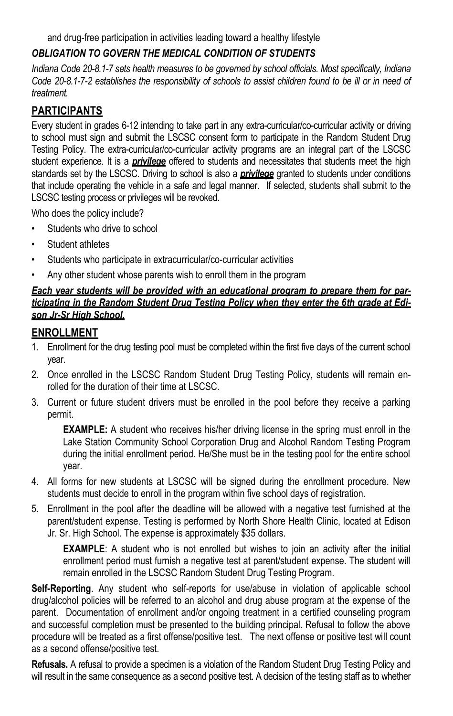and drug-free participation in activities leading toward a healthy lifestyle

#### *OBLIGATION TO GOVERN THE MEDICAL CONDITION OF STUDENTS*

*Indiana Code 20-8.1-7 sets health measures to be governed by school officials. Most specifically, Indiana Code 20-8.1-7-2 establishes the responsibility of schools to assist children found to be ill or in need of treatment.*

### **PARTICIPANTS**

Every student in grades 6-12 intending to take part in any extra-curricular/co-curricular activity or driving to school must sign and submit the LSCSC consent form to participate in the Random Student Drug Testing Policy. The extra-curricular/co-curricular activity programs are an integral part of the LSCSC student experience. It is a *privilege* offered to students and necessitates that students meet the high standards set by the LSCSC. Driving to school is also a *privilege* granted to students under conditions that include operating the vehicle in a safe and legal manner. If selected, students shall submit to the LSCSC testing process or privileges will be revoked.

Who does the policy include?

- Students who drive to school
- Student athletes
- Students who participate in extracurricular/co-curricular activities
- Any other student whose parents wish to enroll them in the program

#### *Each year students will be provided with an educational program to prepare them for participating in the Random Student Drug Testing Policy when they enter the 6th grade at Edison Jr-Sr High School.*

### **ENROLLMENT**

- 1. Enrollment for the drug testing pool must be completed within the first five days of the current school year.
- 2. Once enrolled in the LSCSC Random Student Drug Testing Policy, students will remain enrolled for the duration of their time at LSCSC.
- 3. Current or future student drivers must be enrolled in the pool before they receive a parking permit.

**EXAMPLE:** A student who receives his/her driving license in the spring must enroll in the Lake Station Community School Corporation Drug and Alcohol Random Testing Program during the initial enrollment period. He/She must be in the testing pool for the entire school year.

- 4. All forms for new students at LSCSC will be signed during the enrollment procedure. New students must decide to enroll in the program within five school days of registration.
- 5. Enrollment in the pool after the deadline will be allowed with a negative test furnished at the parent/student expense. Testing is performed by North Shore Health Clinic, located at Edison Jr. Sr. High School. The expense is approximately \$35 dollars.

**EXAMPLE**: A student who is not enrolled but wishes to join an activity after the initial enrollment period must furnish a negative test at parent/student expense. The student will remain enrolled in the LSCSC Random Student Drug Testing Program.

**Self-Reporting**. Any student who self-reports for use/abuse in violation of applicable school drug/alcohol policies will be referred to an alcohol and drug abuse program at the expense of the parent. Documentation of enrollment and/or ongoing treatment in a certified counseling program and successful completion must be presented to the building principal. Refusal to follow the above procedure will be treated as a first offense/positive test. The next offense or positive test will count as a second offense/positive test.

**Refusals.** A refusal to provide a specimen is a violation of the Random Student Drug Testing Policy and will result in the same consequence as a second positive test. A decision of the testing staff as to whether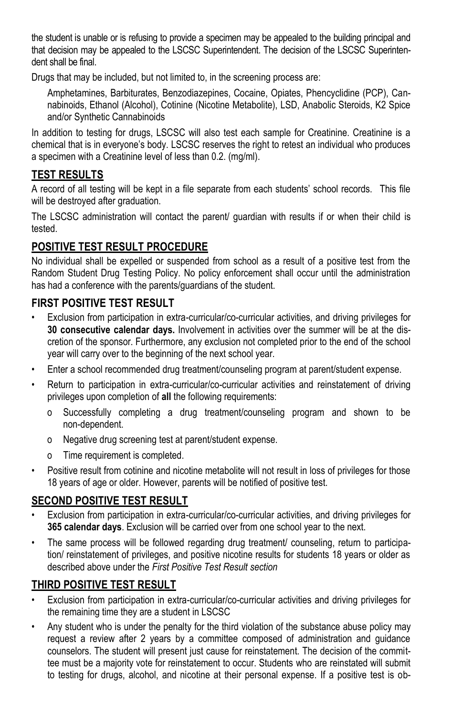the student is unable or is refusing to provide a specimen may be appealed to the building principal and that decision may be appealed to the LSCSC Superintendent. The decision of the LSCSC Superintendent shall be final.

Drugs that may be included, but not limited to, in the screening process are:

Amphetamines, Barbiturates, Benzodiazepines, Cocaine, Opiates, Phencyclidine (PCP), Cannabinoids, Ethanol (Alcohol), Cotinine (Nicotine Metabolite), LSD, Anabolic Steroids, K2 Spice and/or Synthetic Cannabinoids

In addition to testing for drugs, LSCSC will also test each sample for Creatinine. Creatinine is a chemical that is in everyone's body. LSCSC reserves the right to retest an individual who produces a specimen with a Creatinine level of less than 0.2. (mg/ml).

#### **TEST RESULTS**

A record of all testing will be kept in a file separate from each students' school records. This file will be destroyed after graduation.

The LSCSC administration will contact the parent/ guardian with results if or when their child is tested.

#### **POSITIVE TEST RESULT PROCEDURE**

No individual shall be expelled or suspended from school as a result of a positive test from the Random Student Drug Testing Policy. No policy enforcement shall occur until the administration has had a conference with the parents/guardians of the student.

#### **FIRST POSITIVE TEST RESULT**

- Exclusion from participation in extra-curricular/co-curricular activities, and driving privileges for **30 consecutive calendar days.** Involvement in activities over the summer will be at the discretion of the sponsor. Furthermore, any exclusion not completed prior to the end of the school year will carry over to the beginning of the next school year.
- Enter a school recommended drug treatment/counseling program at parent/student expense.
- Return to participation in extra-curricular/co-curricular activities and reinstatement of driving privileges upon completion of **all** the following requirements:
	- o Successfully completing a drug treatment/counseling program and shown to be non-dependent.
	- o Negative drug screening test at parent/student expense.
	- o Time requirement is completed.
- Positive result from cotinine and nicotine metabolite will not result in loss of privileges for those 18 years of age or older. However, parents will be notified of positive test.

#### **SECOND POSITIVE TEST RESULT**

- Exclusion from participation in extra-curricular/co-curricular activities, and driving privileges for **365 calendar days**. Exclusion will be carried over from one school year to the next.
- The same process will be followed regarding drug treatment/ counseling, return to participation/ reinstatement of privileges, and positive nicotine results for students 18 years or older as described above under the *First Positive Test Result section*

### **THIRD POSITIVE TEST RESULT**

- Exclusion from participation in extra-curricular/co-curricular activities and driving privileges for the remaining time they are a student in LSCSC
- Any student who is under the penalty for the third violation of the substance abuse policy may request a review after 2 years by a committee composed of administration and guidance counselors. The student will present just cause for reinstatement. The decision of the committee must be a majority vote for reinstatement to occur. Students who are reinstated will submit to testing for drugs, alcohol, and nicotine at their personal expense. If a positive test is ob-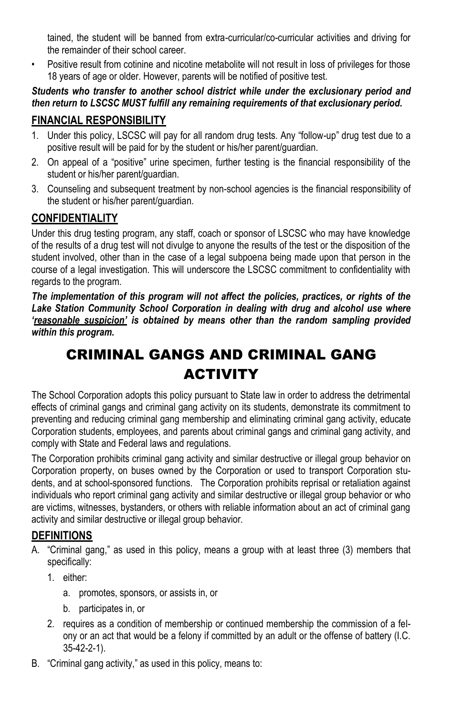tained, the student will be banned from extra-curricular/co-curricular activities and driving for the remainder of their school career.

Positive result from cotinine and nicotine metabolite will not result in loss of privileges for those 18 years of age or older. However, parents will be notified of positive test.

*Students who transfer to another school district while under the exclusionary period and then return to LSCSC MUST fulfill any remaining requirements of that exclusionary period.*

### **FINANCIAL RESPONSIBILITY**

- 1. Under this policy, LSCSC will pay for all random drug tests. Any "follow-up" drug test due to a positive result will be paid for by the student or his/her parent/guardian.
- 2. On appeal of a "positive" urine specimen, further testing is the financial responsibility of the student or his/her parent/guardian.
- 3. Counseling and subsequent treatment by non-school agencies is the financial responsibility of the student or his/her parent/guardian.

### **CONFIDENTIALITY**

Under this drug testing program, any staff, coach or sponsor of LSCSC who may have knowledge of the results of a drug test will not divulge to anyone the results of the test or the disposition of the student involved, other than in the case of a legal subpoena being made upon that person in the course of a legal investigation. This will underscore the LSCSC commitment to confidentiality with regards to the program.

*The implementation of this program will not affect the policies, practices, or rights of the Lake Station Community School Corporation in dealing with drug and alcohol use where 'reasonable suspicion' is obtained by means other than the random sampling provided within this program.*

# CRIMINAL GANGS AND CRIMINAL GANG **ACTIVITY**

The School Corporation adopts this policy pursuant to State law in order to address the detrimental effects of criminal gangs and criminal gang activity on its students, demonstrate its commitment to preventing and reducing criminal gang membership and eliminating criminal gang activity, educate Corporation students, employees, and parents about criminal gangs and criminal gang activity, and comply with State and Federal laws and regulations.

The Corporation prohibits criminal gang activity and similar destructive or illegal group behavior on Corporation property, on buses owned by the Corporation or used to transport Corporation students, and at school-sponsored functions. The Corporation prohibits reprisal or retaliation against individuals who report criminal gang activity and similar destructive or illegal group behavior or who are victims, witnesses, bystanders, or others with reliable information about an act of criminal gang activity and similar destructive or illegal group behavior.

### **DEFINITIONS**

- A. "Criminal gang," as used in this policy, means a group with at least three (3) members that specifically:
	- 1. either:
		- a. promotes, sponsors, or assists in, or
		- b. participates in, or
	- 2. requires as a condition of membership or continued membership the commission of a felony or an act that would be a felony if committed by an adult or the offense of battery (I.C. 35-42-2-1).
- B. "Criminal gang activity," as used in this policy, means to: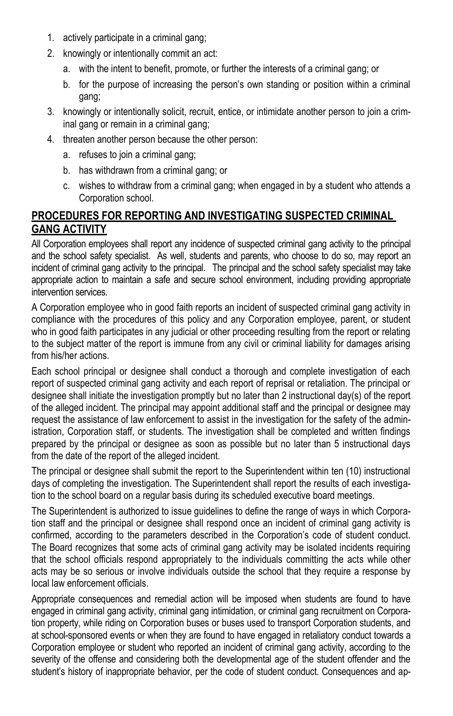- 1. actively participate in a criminal gang;
- 2. knowingly or intentionally commit an act:
	- a. with the intent to benefit, promote, or further the interests of a criminal gang; or
	- b. for the purpose of increasing the person's own standing or position within a criminal gang;
- 3. knowingly or intentionally solicit, recruit, entice, or intimidate another person to join a criminal gang or remain in a criminal gang;
- 4. threaten another person because the other person:
	- a. refuses to join a criminal gang;
	- b. has withdrawn from a criminal gang; or
	- c. wishes to withdraw from a criminal gang; when engaged in by a student who attends a Corporation school.

### **PROCEDURES FOR REPORTING AND INVESTIGATING SUSPECTED CRIMINAL GANG ACTIVITY**

All Corporation employees shall report any incidence of suspected criminal gang activity to the principal and the school safety specialist. As well, students and parents, who choose to do so, may report an incident of criminal gang activity to the principal. The principal and the school safety specialist may take appropriate action to maintain a safe and secure school environment, including providing appropriate intervention services.

A Corporation employee who in good faith reports an incident of suspected criminal gang activity in compliance with the procedures of this policy and any Corporation employee, parent, or student who in good faith participates in any judicial or other proceeding resulting from the report or relating to the subject matter of the report is immune from any civil or criminal liability for damages arising from his/her actions.

Each school principal or designee shall conduct a thorough and complete investigation of each report of suspected criminal gang activity and each report of reprisal or retaliation. The principal or designee shall initiate the investigation promptly but no later than 2 instructional day(s) of the report of the alleged incident. The principal may appoint additional staff and the principal or designee may request the assistance of law enforcement to assist in the investigation for the safety of the administration, Corporation staff, or students. The investigation shall be completed and written findings prepared by the principal or designee as soon as possible but no later than 5 instructional days from the date of the report of the alleged incident.

The principal or designee shall submit the report to the Superintendent within ten (10) instructional days of completing the investigation. The Superintendent shall report the results of each investigation to the school board on a regular basis during its scheduled executive board meetings.

The Superintendent is authorized to issue guidelines to define the range of ways in which Corporation staff and the principal or designee shall respond once an incident of criminal gang activity is confirmed, according to the parameters described in the Corporation's code of student conduct. The Board recognizes that some acts of criminal gang activity may be isolated incidents requiring that the school officials respond appropriately to the individuals committing the acts while other acts may be so serious or involve individuals outside the school that they require a response by local law enforcement officials.

Appropriate consequences and remedial action will be imposed when students are found to have engaged in criminal gang activity, criminal gang intimidation, or criminal gang recruitment on Corporation property, while riding on Corporation buses or buses used to transport Corporation students, and at school-sponsored events or when they are found to have engaged in retaliatory conduct towards a Corporation employee or student who reported an incident of criminal gang activity, according to the severity of the offense and considering both the developmental age of the student offender and the student's history of inappropriate behavior, per the code of student conduct. Consequences and ap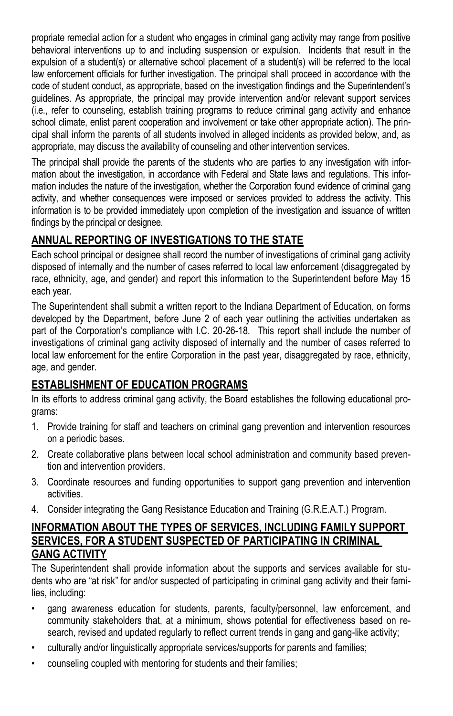propriate remedial action for a student who engages in criminal gang activity may range from positive behavioral interventions up to and including suspension or expulsion. Incidents that result in the expulsion of a student(s) or alternative school placement of a student(s) will be referred to the local law enforcement officials for further investigation. The principal shall proceed in accordance with the code of student conduct, as appropriate, based on the investigation findings and the Superintendent's guidelines. As appropriate, the principal may provide intervention and/or relevant support services (i.e., refer to counseling, establish training programs to reduce criminal gang activity and enhance school climate, enlist parent cooperation and involvement or take other appropriate action). The principal shall inform the parents of all students involved in alleged incidents as provided below, and, as appropriate, may discuss the availability of counseling and other intervention services.

The principal shall provide the parents of the students who are parties to any investigation with information about the investigation, in accordance with Federal and State laws and regulations. This information includes the nature of the investigation, whether the Corporation found evidence of criminal gang activity, and whether consequences were imposed or services provided to address the activity. This information is to be provided immediately upon completion of the investigation and issuance of written findings by the principal or designee.

### **ANNUAL REPORTING OF INVESTIGATIONS TO THE STATE**

Each school principal or designee shall record the number of investigations of criminal gang activity disposed of internally and the number of cases referred to local law enforcement (disaggregated by race, ethnicity, age, and gender) and report this information to the Superintendent before May 15 each year.

The Superintendent shall submit a written report to the Indiana Department of Education, on forms developed by the Department, before June 2 of each year outlining the activities undertaken as part of the Corporation's compliance with I.C. 20-26-18. This report shall include the number of investigations of criminal gang activity disposed of internally and the number of cases referred to local law enforcement for the entire Corporation in the past year, disaggregated by race, ethnicity, age, and gender.

### **ESTABLISHMENT OF EDUCATION PROGRAMS**

In its efforts to address criminal gang activity, the Board establishes the following educational programs:

- 1. Provide training for staff and teachers on criminal gang prevention and intervention resources on a periodic bases.
- 2. Create collaborative plans between local school administration and community based prevention and intervention providers.
- 3. Coordinate resources and funding opportunities to support gang prevention and intervention activities.
- 4. Consider integrating the Gang Resistance Education and Training (G.R.E.A.T.) Program.

### **INFORMATION ABOUT THE TYPES OF SERVICES, INCLUDING FAMILY SUPPORT SERVICES, FOR A STUDENT SUSPECTED OF PARTICIPATING IN CRIMINAL GANG ACTIVITY**

The Superintendent shall provide information about the supports and services available for students who are "at risk" for and/or suspected of participating in criminal gang activity and their families, including:

- gang awareness education for students, parents, faculty/personnel, law enforcement, and community stakeholders that, at a minimum, shows potential for effectiveness based on research, revised and updated regularly to reflect current trends in gang and gang-like activity;
- culturally and/or linguistically appropriate services/supports for parents and families;
- counseling coupled with mentoring for students and their families;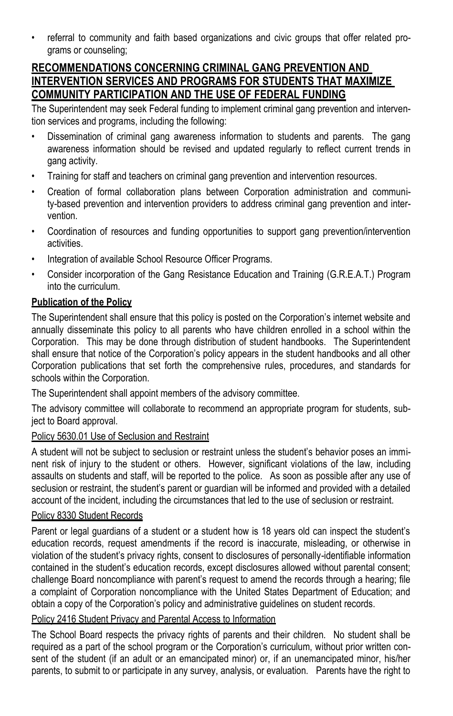• referral to community and faith based organizations and civic groups that offer related programs or counseling;

### **RECOMMENDATIONS CONCERNING CRIMINAL GANG PREVENTION AND INTERVENTION SERVICES AND PROGRAMS FOR STUDENTS THAT MAXIMIZE COMMUNITY PARTICIPATION AND THE USE OF FEDERAL FUNDING**

The Superintendent may seek Federal funding to implement criminal gang prevention and intervention services and programs, including the following:

- Dissemination of criminal gang awareness information to students and parents. The gang awareness information should be revised and updated regularly to reflect current trends in gang activity.
- Training for staff and teachers on criminal gang prevention and intervention resources.
- Creation of formal collaboration plans between Corporation administration and community-based prevention and intervention providers to address criminal gang prevention and intervention.
- Coordination of resources and funding opportunities to support gang prevention/intervention activities.
- Integration of available School Resource Officer Programs.
- Consider incorporation of the Gang Resistance Education and Training (G.R.E.A.T.) Program into the curriculum.

### **Publication of the Policy**

The Superintendent shall ensure that this policy is posted on the Corporation's internet website and annually disseminate this policy to all parents who have children enrolled in a school within the Corporation. This may be done through distribution of student handbooks. The Superintendent shall ensure that notice of the Corporation's policy appears in the student handbooks and all other Corporation publications that set forth the comprehensive rules, procedures, and standards for schools within the Corporation.

The Superintendent shall appoint members of the advisory committee.

The advisory committee will collaborate to recommend an appropriate program for students, subject to Board approval.

#### Policy 5630.01 Use of Seclusion and Restraint

A student will not be subject to seclusion or restraint unless the student's behavior poses an imminent risk of injury to the student or others. However, significant violations of the law, including assaults on students and staff, will be reported to the police. As soon as possible after any use of seclusion or restraint, the student's parent or guardian will be informed and provided with a detailed account of the incident, including the circumstances that led to the use of seclusion or restraint.

#### Policy 8330 Student Records

Parent or legal guardians of a student or a student how is 18 years old can inspect the student's education records, request amendments if the record is inaccurate, misleading, or otherwise in violation of the student's privacy rights, consent to disclosures of personally-identifiable information contained in the student's education records, except disclosures allowed without parental consent; challenge Board noncompliance with parent's request to amend the records through a hearing; file a complaint of Corporation noncompliance with the United States Department of Education; and obtain a copy of the Corporation's policy and administrative guidelines on student records.

#### Policy 2416 Student Privacy and Parental Access to Information

The School Board respects the privacy rights of parents and their children. No student shall be required as a part of the school program or the Corporation's curriculum, without prior written consent of the student (if an adult or an emancipated minor) or, if an unemancipated minor, his/her parents, to submit to or participate in any survey, analysis, or evaluation. Parents have the right to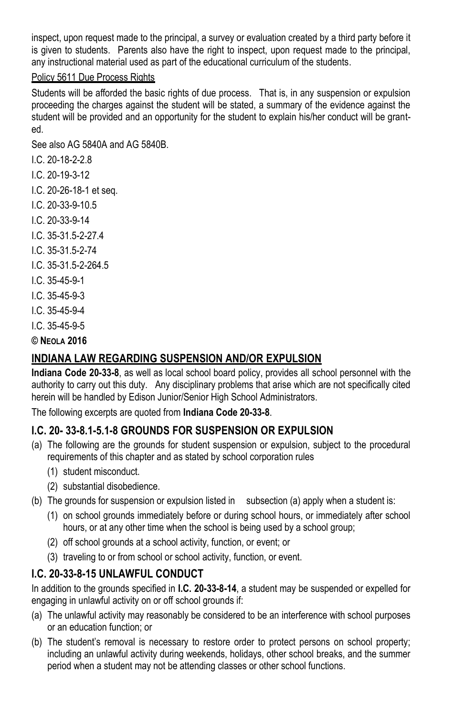inspect, upon request made to the principal, a survey or evaluation created by a third party before it is given to students. Parents also have the right to inspect, upon request made to the principal, any instructional material used as part of the educational curriculum of the students.

#### Policy 5611 Due Process Rights

Students will be afforded the basic rights of due process. That is, in any suspension or expulsion proceeding the charges against the student will be stated, a summary of the evidence against the student will be provided and an opportunity for the student to explain his/her conduct will be granted.

See also AG 5840A and AG 5840B.

- I.C. 20-18-2-2.8
- I.C. 20-19-3-12
- I.C. 20-26-18-1 et seq.
- I.C. 20-33-9-10.5
- I.C. 20-33-9-14
- I.C. 35-31.5-2-27.4
- I.C. 35-31.5-2-74
- I.C. 35-31.5-2-264.5
- I.C. 35-45-9-1
- I.C. 35-45-9-3
- I.C. 35-45-9-4
- I.C. 35-45-9-5

**© NEOLA 2016**

### **INDIANA LAW REGARDING SUSPENSION AND/OR EXPULSION**

**Indiana Code 20-33-8**, as well as local school board policy, provides all school personnel with the authority to carry out this duty. Any disciplinary problems that arise which are not specifically cited herein will be handled by Edison Junior/Senior High School Administrators.

The following excerpts are quoted from **Indiana Code 20-33-8**.

### **I.C. 20- 33-8.1-5.1-8 GROUNDS FOR SUSPENSION OR EXPULSION**

- (a) The following are the grounds for student suspension or expulsion, subject to the procedural requirements of this chapter and as stated by school corporation rules
	- (1) student misconduct.
	- (2) substantial disobedience.
- (b) The grounds for suspension or expulsion listed in subsection (a) apply when a student is:
	- (1) on school grounds immediately before or during school hours, or immediately after school hours, or at any other time when the school is being used by a school group;
	- (2) off school grounds at a school activity, function, or event; or
	- (3) traveling to or from school or school activity, function, or event.

### **I.C. 20-33-8-15 UNLAWFUL CONDUCT**

In addition to the grounds specified in **I.C. 20-33-8-14**, a student may be suspended or expelled for engaging in unlawful activity on or off school grounds if:

- (a) The unlawful activity may reasonably be considered to be an interference with school purposes or an education function; or
- (b) The student's removal is necessary to restore order to protect persons on school property; including an unlawful activity during weekends, holidays, other school breaks, and the summer period when a student may not be attending classes or other school functions.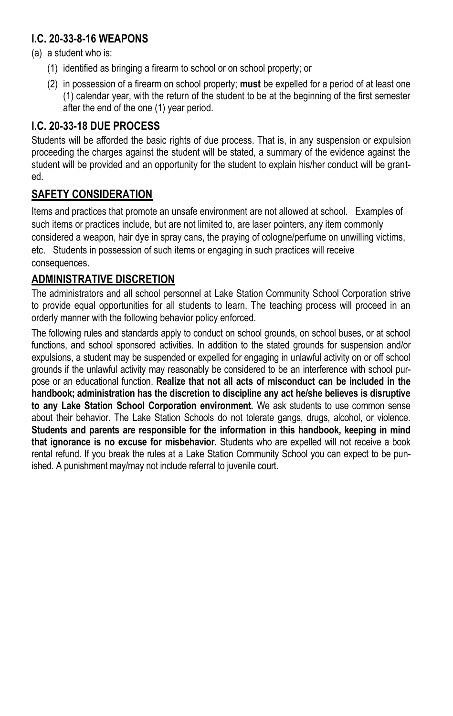### **I.C. 20-33-8-16 WEAPONS**

- (a) a student who is:
	- (1) identified as bringing a firearm to school or on school property; or
	- (2) in possession of a firearm on school property; **must** be expelled for a period of at least one (1) calendar year, with the return of the student to be at the beginning of the first semester after the end of the one (1) year period.

### **I.C. 20-33-18 DUE PROCESS**

Students will be afforded the basic rights of due process. That is, in any suspension or expulsion proceeding the charges against the student will be stated, a summary of the evidence against the student will be provided and an opportunity for the student to explain his/her conduct will be granted.

### **SAFETY CONSIDERATION**

Items and practices that promote an unsafe environment are not allowed at school. Examples of such items or practices include, but are not limited to, are laser pointers, any item commonly considered a weapon, hair dye in spray cans, the praying of cologne/perfume on unwilling victims, etc. Students in possession of such items or engaging in such practices will receive consequences.

### **ADMINISTRATIVE DISCRETION**

The administrators and all school personnel at Lake Station Community School Corporation strive to provide equal opportunities for all students to learn. The teaching process will proceed in an orderly manner with the following behavior policy enforced.

The following rules and standards apply to conduct on school grounds, on school buses, or at school functions, and school sponsored activities. In addition to the stated grounds for suspension and/or expulsions, a student may be suspended or expelled for engaging in unlawful activity on or off school grounds if the unlawful activity may reasonably be considered to be an interference with school purpose or an educational function. **Realize that not all acts of misconduct can be included in the handbook; administration has the discretion to discipline any act he/she believes is disruptive to any Lake Station School Corporation environment.** We ask students to use common sense about their behavior. The Lake Station Schools do not tolerate gangs, drugs, alcohol, or violence. **Students and parents are responsible for the information in this handbook, keeping in mind that ignorance is no excuse for misbehavior.** Students who are expelled will not receive a book rental refund. If you break the rules at a Lake Station Community School you can expect to be punished. A punishment may/may not include referral to juvenile court.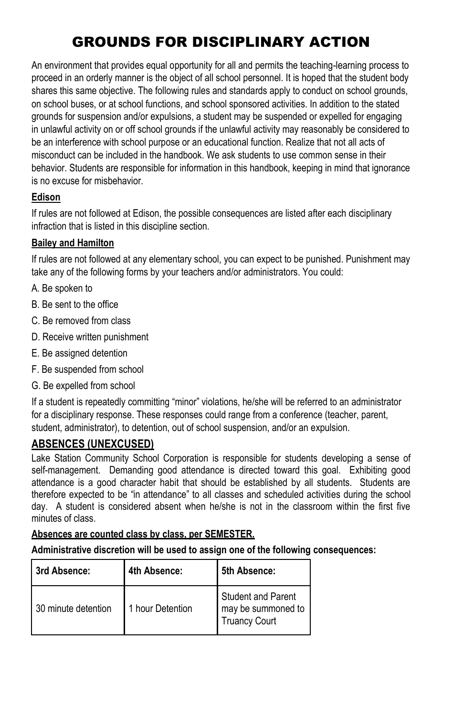# GROUNDS FOR DISCIPLINARY ACTION

An environment that provides equal opportunity for all and permits the teaching-learning process to proceed in an orderly manner is the object of all school personnel. It is hoped that the student body shares this same objective. The following rules and standards apply to conduct on school grounds, on school buses, or at school functions, and school sponsored activities. In addition to the stated grounds for suspension and/or expulsions, a student may be suspended or expelled for engaging in unlawful activity on or off school grounds if the unlawful activity may reasonably be considered to be an interference with school purpose or an educational function. Realize that not all acts of misconduct can be included in the handbook. We ask students to use common sense in their behavior. Students are responsible for information in this handbook, keeping in mind that ignorance is no excuse for misbehavior.

### **Edison**

If rules are not followed at Edison, the possible consequences are listed after each disciplinary infraction that is listed in this discipline section.

### **Bailey and Hamilton**

If rules are not followed at any elementary school, you can expect to be punished. Punishment may take any of the following forms by your teachers and/or administrators. You could:

- A. Be spoken to
- B. Be sent to the office
- C. Be removed from class
- D. Receive written punishment
- E. Be assigned detention
- F. Be suspended from school
- G. Be expelled from school

If a student is repeatedly committing "minor" violations, he/she will be referred to an administrator for a disciplinary response. These responses could range from a conference (teacher, parent, student, administrator), to detention, out of school suspension, and/or an expulsion.

### **ABSENCES (UNEXCUSED)**

Lake Station Community School Corporation is responsible for students developing a sense of self-management. Demanding good attendance is directed toward this goal. Exhibiting good attendance is a good character habit that should be established by all students. Students are therefore expected to be "in attendance" to all classes and scheduled activities during the school day. A student is considered absent when he/she is not in the classroom within the first five minutes of class.

#### **Absences are counted class by class, per SEMESTER.**

| 3rd Absence:        | 4th Absence:     | 5th Absence:                                                            |
|---------------------|------------------|-------------------------------------------------------------------------|
| 30 minute detention | 1 hour Detention | <b>Student and Parent</b><br>may be summoned to<br><b>Truancy Court</b> |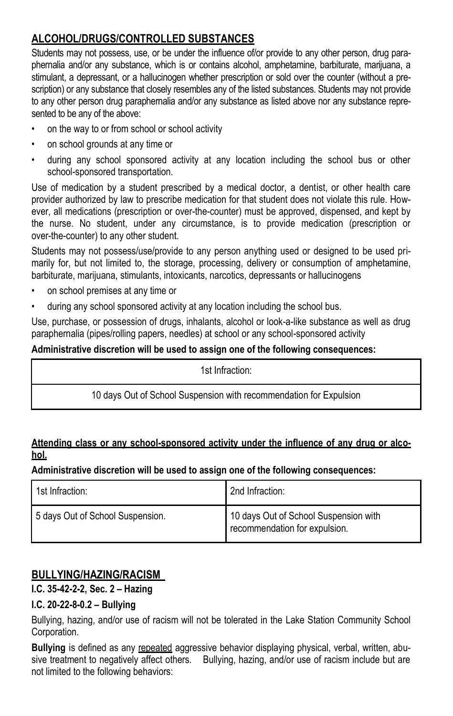### **ALCOHOL/DRUGS/CONTROLLED SUBSTANCES**

Students may not possess, use, or be under the influence of/or provide to any other person, drug paraphernalia and/or any substance, which is or contains alcohol, amphetamine, barbiturate, marijuana, a stimulant, a depressant, or a hallucinogen whether prescription or sold over the counter (without a prescription) or any substance that closely resembles any of the listed substances. Students may not provide to any other person drug paraphernalia and/or any substance as listed above nor any substance represented to be any of the above:

- on the way to or from school or school activity
- on school grounds at any time or
- during any school sponsored activity at any location including the school bus or other school-sponsored transportation.

Use of medication by a student prescribed by a medical doctor, a dentist, or other health care provider authorized by law to prescribe medication for that student does not violate this rule. However, all medications (prescription or over-the-counter) must be approved, dispensed, and kept by the nurse. No student, under any circumstance, is to provide medication (prescription or over-the-counter) to any other student.

Students may not possess/use/provide to any person anything used or designed to be used primarily for, but not limited to, the storage, processing, delivery or consumption of amphetamine, barbiturate, marijuana, stimulants, intoxicants, narcotics, depressants or hallucinogens

- on school premises at any time or
- during any school sponsored activity at any location including the school bus.

Use, purchase, or possession of drugs, inhalants, alcohol or look-a-like substance as well as drug paraphernalia (pipes/rolling papers, needles) at school or any school-sponsored activity

#### **Administrative discretion will be used to assign one of the following consequences:**

1st Infraction:

10 days Out of School Suspension with recommendation for Expulsion

#### **Attending class or any school-sponsored activity under the influence of any drug or alcohol.**

#### **Administrative discretion will be used to assign one of the following consequences:**

| 1st Infraction:                  | 2nd Infraction:                                                        |
|----------------------------------|------------------------------------------------------------------------|
| 5 days Out of School Suspension. | 10 days Out of School Suspension with<br>recommendation for expulsion. |

#### **BULLYING/HAZING/RACISM**

#### **I.C. 35-42-2-2, Sec. 2 – Hazing**

#### **I.C. 20-22-8-0.2 – Bullying**

Bullying, hazing, and/or use of racism will not be tolerated in the Lake Station Community School Corporation.

**Bullying** is defined as any repeated aggressive behavior displaying physical, verbal, written, abusive treatment to negatively affect others. Bullying, hazing, and/or use of racism include but are not limited to the following behaviors: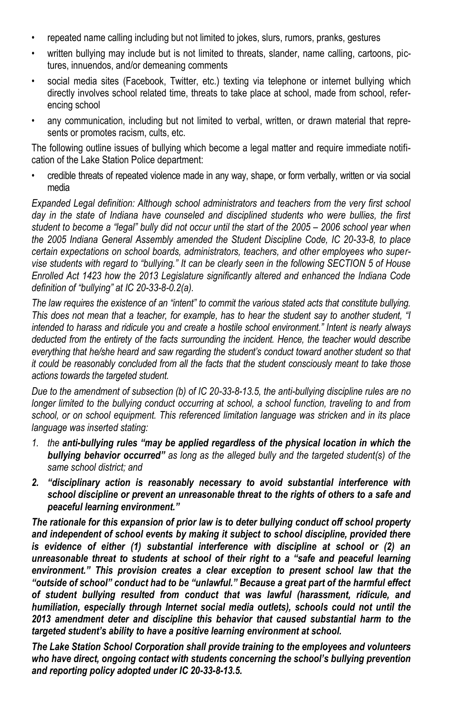- repeated name calling including but not limited to jokes, slurs, rumors, pranks, gestures
- written bullying may include but is not limited to threats, slander, name calling, cartoons, pictures, innuendos, and/or demeaning comments
- social media sites (Facebook, Twitter, etc.) texting via telephone or internet bullying which directly involves school related time, threats to take place at school, made from school, referencing school
- any communication, including but not limited to verbal, written, or drawn material that represents or promotes racism, cults, etc.

The following outline issues of bullying which become a legal matter and require immediate notification of the Lake Station Police department:

• credible threats of repeated violence made in any way, shape, or form verbally, written or via social media

*Expanded Legal definition: Although school administrators and teachers from the very first school*  day in the state of Indiana have counseled and disciplined students who were bullies, the first *student to become a "legal" bully did not occur until the start of the 2005 – 2006 school year when the 2005 Indiana General Assembly amended the Student Discipline Code, IC 20-33-8, to place certain expectations on school boards, administrators, teachers, and other employees who supervise students with regard to "bullying." It can be clearly seen in the following SECTION 5 of House Enrolled Act 1423 how the 2013 Legislature significantly altered and enhanced the Indiana Code definition of "bullying" at IC 20-33-8-0.2(a).*

*The law requires the existence of an "intent" to commit the various stated acts that constitute bullying. This does not mean that a teacher, for example, has to hear the student say to another student, "I intended to harass and ridicule you and create a hostile school environment." Intent is nearly always deducted from the entirety of the facts surrounding the incident. Hence, the teacher would describe everything that he/she heard and saw regarding the student's conduct toward another student so that it could be reasonably concluded from all the facts that the student consciously meant to take those actions towards the targeted student.* 

*Due to the amendment of subsection (b) of IC 20-33-8-13.5, the anti-bullying discipline rules are no longer limited to the bullying conduct occurring at school, a school function, traveling to and from school, or on school equipment. This referenced limitation language was stricken and in its place language was inserted stating:*

- *1. the anti-bullying rules "may be applied regardless of the physical location in which the bullying behavior occurred" as long as the alleged bully and the targeted student(s) of the same school district; and*
- *2. "disciplinary action is reasonably necessary to avoid substantial interference with school discipline or prevent an unreasonable threat to the rights of others to a safe and peaceful learning environment."*

*The rationale for this expansion of prior law is to deter bullying conduct off school property and independent of school events by making it subject to school discipline, provided there is evidence of either (1) substantial interference with discipline at school or (2) an unreasonable threat to students at school of their right to a "safe and peaceful learning environment." This provision creates a clear exception to present school law that the "outside of school" conduct had to be "unlawful." Because a great part of the harmful effect of student bullying resulted from conduct that was lawful (harassment, ridicule, and humiliation, especially through Internet social media outlets), schools could not until the 2013 amendment deter and discipline this behavior that caused substantial harm to the targeted student's ability to have a positive learning environment at school.* 

*The Lake Station School Corporation shall provide training to the employees and volunteers who have direct, ongoing contact with students concerning the school's bullying prevention and reporting policy adopted under IC 20-33-8-13.5.*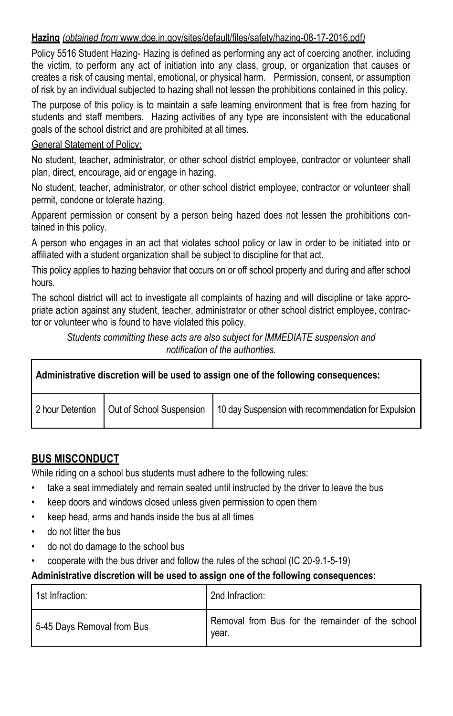#### **Hazing** *(obtained from* www.doe.in.gov/sites/default/files/safety/hazing-08-17-2016.pdf*)*

Policy 5516 Student Hazing- Hazing is defined as performing any act of coercing another, including the victim, to perform any act of initiation into any class, group, or organization that causes or creates a risk of causing mental, emotional, or physical harm. Permission, consent, or assumption of risk by an individual subjected to hazing shall not lessen the prohibitions contained in this policy.

The purpose of this policy is to maintain a safe learning environment that is free from hazing for students and staff members. Hazing activities of any type are inconsistent with the educational goals of the school district and are prohibited at all times.

#### General Statement of Policy:

No student, teacher, administrator, or other school district employee, contractor or volunteer shall plan, direct, encourage, aid or engage in hazing.

No student, teacher, administrator, or other school district employee, contractor or volunteer shall permit, condone or tolerate hazing.

Apparent permission or consent by a person being hazed does not lessen the prohibitions contained in this policy.

A person who engages in an act that violates school policy or law in order to be initiated into or affiliated with a student organization shall be subject to discipline for that act.

This policy applies to hazing behavior that occurs on or off school property and during and after school hours.

The school district will act to investigate all complaints of hazing and will discipline or take appropriate action against any student, teacher, administrator or other school district employee, contractor or volunteer who is found to have violated this policy.

*Students committing these acts are also subject for IMMEDIATE suspension and notification of the authorities.*

| Administrative discretion will be used to assign one of the following consequences: |  |                                                                                                   |
|-------------------------------------------------------------------------------------|--|---------------------------------------------------------------------------------------------------|
|                                                                                     |  | 2 hour Detention   Out of School Suspension   10 day Suspension with recommendation for Expulsion |

### **BUS MISCONDUCT**

While riding on a school bus students must adhere to the following rules:

- take a seat immediately and remain seated until instructed by the driver to leave the bus
- keep doors and windows closed unless given permission to open them
- keep head, arms and hands inside the bus at all times
- do not litter the bus
- do not do damage to the school bus
- cooperate with the bus driver and follow the rules of the school (IC 20-9.1-5-19)

| 1st Infraction:            | 2nd Infraction:                                           |
|----------------------------|-----------------------------------------------------------|
| 5-45 Days Removal from Bus | Removal from Bus for the remainder of the school<br>year. |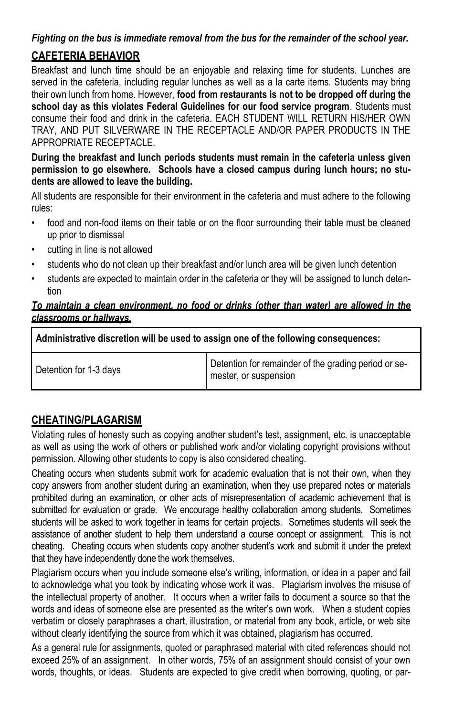#### *Fighting on the bus is immediate removal from the bus for the remainder of the school year.*

### **CAFETERIA BEHAVIOR**

Breakfast and lunch time should be an enjoyable and relaxing time for students. Lunches are served in the cafeteria, including regular lunches as well as a la carte items. Students may bring their own lunch from home. However, **food from restaurants is not to be dropped off during the school day as this violates Federal Guidelines for our food service program**. Students must consume their food and drink in the cafeteria. EACH STUDENT WILL RETURN HIS/HER OWN TRAY, AND PUT SILVERWARE IN THE RECEPTACLE AND/OR PAPER PRODUCTS IN THE APPROPRIATE RECEPTACLE.

**During the breakfast and lunch periods students must remain in the cafeteria unless given permission to go elsewhere. Schools have a closed campus during lunch hours; no students are allowed to leave the building.**

All students are responsible for their environment in the cafeteria and must adhere to the following rules:

- food and non-food items on their table or on the floor surrounding their table must be cleaned up prior to dismissal
- cutting in line is not allowed
- students who do not clean up their breakfast and/or lunch area will be given lunch detention
- students are expected to maintain order in the cafeteria or they will be assigned to lunch detention

#### *To maintain a clean environment, no food or drinks (other than water) are allowed in the classrooms or hallways.*

**Administrative discretion will be used to assign one of the following consequences:**

Detention for 1-3 days Detention for remainder of the grading period or semester, or suspension

### **CHEATING/PLAGARISM**

Violating rules of honesty such as copying another student's test, assignment, etc. is unacceptable as well as using the work of others or published work and/or violating copyright provisions without permission. Allowing other students to copy is also considered cheating.

Cheating occurs when students submit work for academic evaluation that is not their own, when they copy answers from another student during an examination, when they use prepared notes or materials prohibited during an examination, or other acts of misrepresentation of academic achievement that is submitted for evaluation or grade. We encourage healthy collaboration among students. Sometimes students will be asked to work together in teams for certain projects. Sometimes students will seek the assistance of another student to help them understand a course concept or assignment. This is not cheating. Cheating occurs when students copy another student's work and submit it under the pretext that they have independently done the work themselves.

Plagiarism occurs when you include someone else's writing, information, or idea in a paper and fail to acknowledge what you took by indicating whose work it was. Plagiarism involves the misuse of the intellectual property of another. It occurs when a writer fails to document a source so that the words and ideas of someone else are presented as the writer's own work. When a student copies verbatim or closely paraphrases a chart, illustration, or material from any book, article, or web site without clearly identifying the source from which it was obtained, plagiarism has occurred.

As a general rule for assignments, quoted or paraphrased material with cited references should not exceed 25% of an assignment. In other words, 75% of an assignment should consist of your own words, thoughts, or ideas. Students are expected to give credit when borrowing, quoting, or par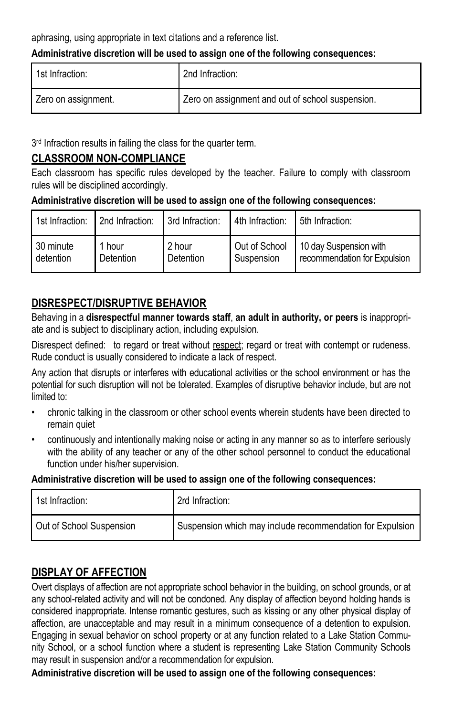aphrasing, using appropriate in text citations and a reference list.

#### **Administrative discretion will be used to assign one of the following consequences:**

| 1st Infraction:     | 2nd Infraction:                                  |
|---------------------|--------------------------------------------------|
| Zero on assignment. | Zero on assignment and out of school suspension. |

3<sup>rd</sup> Infraction results in failing the class for the quarter term.

#### **CLASSROOM NON-COMPLIANCE**

Each classroom has specific rules developed by the teacher. Failure to comply with classroom rules will be disciplined accordingly.

#### **Administrative discretion will be used to assign one of the following consequences:**

| 1st Infraction: | 2nd Infraction: | 3rd Infraction: | 4th Infraction: | 5th Infraction:              |
|-----------------|-----------------|-----------------|-----------------|------------------------------|
| 30 minute       | 1 hour          | 2 hour          | Out of School   | 10 day Suspension with       |
| detention       | Detention       | Detention       | Suspension      | recommendation for Expulsion |

### **DISRESPECT/DISRUPTIVE BEHAVIOR**

Behaving in a **disrespectful manner towards staff**, **an adult in authority, or peers** is inappropriate and is subject to disciplinary action, including expulsion.

Disrespect defined: to regard or treat without respect; regard or treat with contempt or rudeness. Rude conduct is usually considered to indicate a lack of respect.

Any action that disrupts or interferes with educational activities or the school environment or has the potential for such disruption will not be tolerated. Examples of disruptive behavior include, but are not limited to:

- chronic talking in the classroom or other school events wherein students have been directed to remain quiet
- continuously and intentionally making noise or acting in any manner so as to interfere seriously with the ability of any teacher or any of the other school personnel to conduct the educational function under his/her supervision.

#### **Administrative discretion will be used to assign one of the following consequences:**

| 1st Infraction:          | 2rd Infraction:                                           |
|--------------------------|-----------------------------------------------------------|
| Out of School Suspension | Suspension which may include recommendation for Expulsion |

### **DISPLAY OF AFFECTION**

Overt displays of affection are not appropriate school behavior in the building, on school grounds, or at any school-related activity and will not be condoned. Any display of affection beyond holding hands is considered inappropriate. Intense romantic gestures, such as kissing or any other physical display of affection, are unacceptable and may result in a minimum consequence of a detention to expulsion. Engaging in sexual behavior on school property or at any function related to a Lake Station Community School, or a school function where a student is representing Lake Station Community Schools may result in suspension and/or a recommendation for expulsion.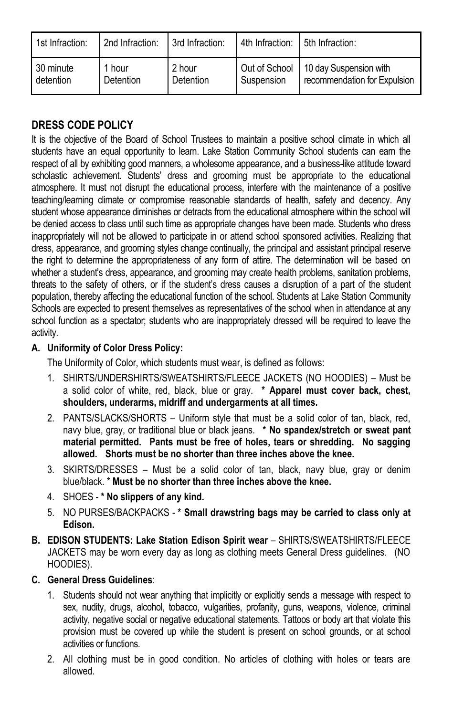| 1st Infraction: | 2nd Infraction: | 3rd Infraction: | 4th Infraction: 5th Infraction: |                                        |
|-----------------|-----------------|-----------------|---------------------------------|----------------------------------------|
| 30 minute       | 1 hour          | 2 hour          | Suspension                      | Out of School   10 day Suspension with |
| detention       | Detention       | Detention       |                                 | recommendation for Expulsion           |

### **DRESS CODE POLICY**

It is the objective of the Board of School Trustees to maintain a positive school climate in which all students have an equal opportunity to learn. Lake Station Community School students can earn the respect of all by exhibiting good manners, a wholesome appearance, and a business-like attitude toward scholastic achievement. Students' dress and grooming must be appropriate to the educational atmosphere. It must not disrupt the educational process, interfere with the maintenance of a positive teaching/learning climate or compromise reasonable standards of health, safety and decency. Any student whose appearance diminishes or detracts from the educational atmosphere within the school will be denied access to class until such time as appropriate changes have been made. Students who dress inappropriately will not be allowed to participate in or attend school sponsored activities. Realizing that dress, appearance, and grooming styles change continually, the principal and assistant principal reserve the right to determine the appropriateness of any form of attire. The determination will be based on whether a student's dress, appearance, and grooming may create health problems, sanitation problems, threats to the safety of others, or if the student's dress causes a disruption of a part of the student population, thereby affecting the educational function of the school. Students at Lake Station Community Schools are expected to present themselves as representatives of the school when in attendance at any school function as a spectator; students who are inappropriately dressed will be required to leave the activity.

#### **A. Uniformity of Color Dress Policy:**

The Uniformity of Color, which students must wear, is defined as follows:

- 1. SHIRTS/UNDERSHIRTS/SWEATSHIRTS/FLEECE JACKETS (NO HOODIES) Must be a solid color of white, red, black, blue or gray. **\* Apparel must cover back, chest, shoulders, underarms, midriff and undergarments at all times.**
- 2. PANTS/SLACKS/SHORTS Uniform style that must be a solid color of tan, black, red, navy blue, gray, or traditional blue or black jeans. **\* No spandex/stretch or sweat pant material permitted. Pants must be free of holes, tears or shredding. No sagging allowed. Shorts must be no shorter than three inches above the knee.**
- 3. SKIRTS/DRESSES Must be a solid color of tan, black, navy blue, gray or denim blue/black. \* **Must be no shorter than three inches above the knee.**
- 4. SHOES **\* No slippers of any kind.**
- 5. NO PURSES/BACKPACKS **\* Small drawstring bags may be carried to class only at Edison.**
- **B. EDISON STUDENTS: Lake Station Edison Spirit wear** SHIRTS/SWEATSHIRTS/FLEECE JACKETS may be worn every day as long as clothing meets General Dress guidelines. (NO HOODIES).

#### **C. General Dress Guidelines**:

- 1. Students should not wear anything that implicitly or explicitly sends a message with respect to sex, nudity, drugs, alcohol, tobacco, vulgarities, profanity, guns, weapons, violence, criminal activity, negative social or negative educational statements. Tattoos or body art that violate this provision must be covered up while the student is present on school grounds, or at school activities or functions.
- 2. All clothing must be in good condition. No articles of clothing with holes or tears are allowed.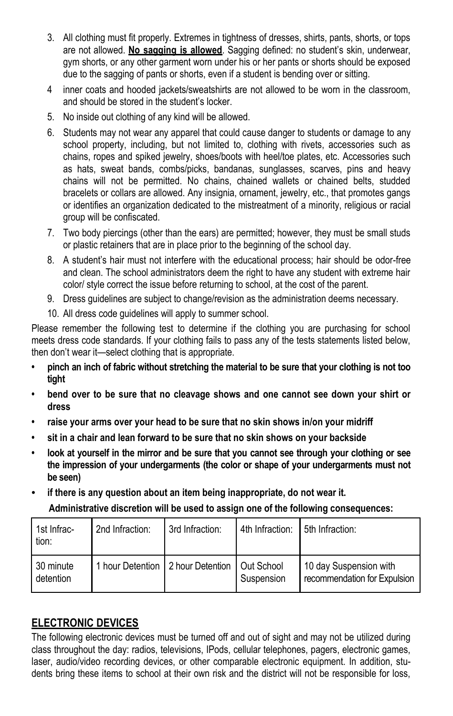- 3. All clothing must fit properly. Extremes in tightness of dresses, shirts, pants, shorts, or tops are not allowed. **No sagging is allowed**. Sagging defined: no student's skin, underwear, gym shorts, or any other garment worn under his or her pants or shorts should be exposed due to the sagging of pants or shorts, even if a student is bending over or sitting.
- 4 inner coats and hooded jackets/sweatshirts are not allowed to be worn in the classroom, and should be stored in the student's locker.
- 5. No inside out clothing of any kind will be allowed.
- 6. Students may not wear any apparel that could cause danger to students or damage to any school property, including, but not limited to, clothing with rivets, accessories such as chains, ropes and spiked jewelry, shoes/boots with heel/toe plates, etc. Accessories such as hats, sweat bands, combs/picks, bandanas, sunglasses, scarves, pins and heavy chains will not be permitted. No chains, chained wallets or chained belts, studded bracelets or collars are allowed. Any insignia, ornament, jewelry, etc., that promotes gangs or identifies an organization dedicated to the mistreatment of a minority, religious or racial group will be confiscated.
- 7. Two body piercings (other than the ears) are permitted; however, they must be small studs or plastic retainers that are in place prior to the beginning of the school day.
- 8. A student's hair must not interfere with the educational process; hair should be odor-free and clean. The school administrators deem the right to have any student with extreme hair color/ style correct the issue before returning to school, at the cost of the parent.
- 9. Dress guidelines are subject to change/revision as the administration deems necessary.
- 10. All dress code guidelines will apply to summer school.

Please remember the following test to determine if the clothing you are purchasing for school meets dress code standards. If your clothing fails to pass any of the tests statements listed below, then don't wear it—select clothing that is appropriate.

- **• pinch an inch of fabric without stretching the material to be sure that your clothing is not too tight**
- **• bend over to be sure that no cleavage shows and one cannot see down your shirt or dress**
- **• raise your arms over your head to be sure that no skin shows in/on your midriff**
- **• sit in a chair and lean forward to be sure that no skin shows on your backside**
- **• look at yourself in the mirror and be sure that you cannot see through your clothing or see the impression of your undergarments (the color or shape of your undergarments must not be seen)**
- **• if there is any question about an item being inappropriate, do not wear it. Administrative discretion will be used to assign one of the following consequences:**

| 1st Infrac-<br>tion:     | 2nd Infraction: | 3rd Infraction:                                 | 4th Infraction: | 5th Infraction:                                        |
|--------------------------|-----------------|-------------------------------------------------|-----------------|--------------------------------------------------------|
| . 30 minute<br>detention |                 | 1 hour Detention 12 hour Detention 1 Out School | Suspension      | 10 day Suspension with<br>recommendation for Expulsion |

### **ELECTRONIC DEVICES**

The following electronic devices must be turned off and out of sight and may not be utilized during class throughout the day: radios, televisions, IPods, cellular telephones, pagers, electronic games, laser, audio/video recording devices, or other comparable electronic equipment. In addition, students bring these items to school at their own risk and the district will not be responsible for loss,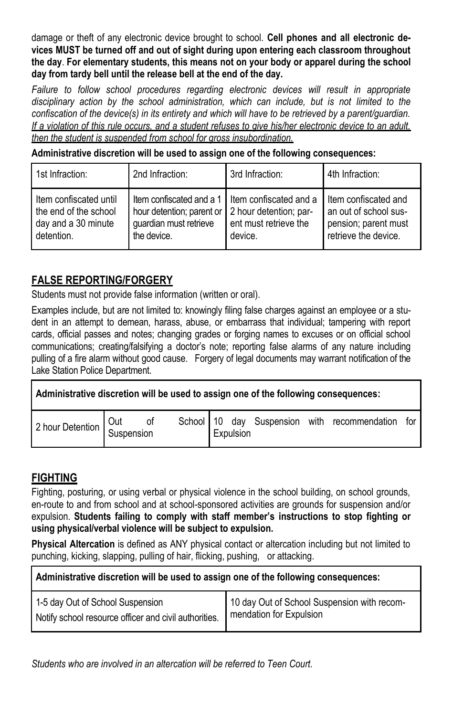damage or theft of any electronic device brought to school. **Cell phones and all electronic devices MUST be turned off and out of sight during upon entering each classroom throughout the day**. **For elementary students, this means not on your body or apparel during the school day from tardy bell until the release bell at the end of the day.**

Failure to follow school procedures regarding electronic devices will result in appropriate *disciplinary action by the school administration, which can include, but is not limited to the confiscation of the device(s) in its entirety and which will have to be retrieved by a parent/guardian. If a violation of this rule occurs, and a student refuses to give his/her electronic device to an adult, then the student is suspended from school for gross insubordination.*

**Administrative discretion will be used to assign one of the following consequences:**

| 1st Infraction:                                                                        | 2nd Infraction:                                                                                                                                | 3rd Infraction:                  | 4th Infraction:                                                                                 |
|----------------------------------------------------------------------------------------|------------------------------------------------------------------------------------------------------------------------------------------------|----------------------------------|-------------------------------------------------------------------------------------------------|
| I Item confiscated until<br>the end of the school<br>day and a 30 minute<br>detention. | Item confiscated and a 1 I Item confiscated and a<br>hour detention; parent or 2 hour detention; par-<br>guardian must retrieve<br>the device. | ent must retrieve the<br>device. | I Item confiscated and<br>an out of school sus-<br>pension; parent must<br>retrieve the device. |

### **FALSE REPORTING/FORGERY**

Students must not provide false information (written or oral).

Examples include, but are not limited to: knowingly filing false charges against an employee or a student in an attempt to demean, harass, abuse, or embarrass that individual; tampering with report cards, official passes and notes; changing grades or forging names to excuses or on official school communications; creating/falsifying a doctor's note; reporting false alarms of any nature including pulling of a fire alarm without good cause. Forgery of legal documents may warrant notification of the Lake Station Police Department.

| Administrative discretion will be used to assign one of the following consequences: |  |  |  |                                                                                                         |  |
|-------------------------------------------------------------------------------------|--|--|--|---------------------------------------------------------------------------------------------------------|--|
|                                                                                     |  |  |  | 2 hour Detention Out of School 10 day Suspension with recommendation for<br>2 hour Detention Suspension |  |

### **FIGHTING**

Fighting, posturing, or using verbal or physical violence in the school building, on school grounds, en-route to and from school and at school-sponsored activities are grounds for suspension and/or expulsion. **Students failing to comply with staff member's instructions to stop fighting or using physical/verbal violence will be subject to expulsion.**

**Physical Altercation** is defined as ANY physical contact or altercation including but not limited to punching, kicking, slapping, pulling of hair, flicking, pushing, or attacking.

| 1-5 day Out of School Suspension                      | 10 day Out of School Suspension with recom- |
|-------------------------------------------------------|---------------------------------------------|
| Notify school resource officer and civil authorities. | mendation for Expulsion                     |

*Students who are involved in an altercation will be referred to Teen Court.*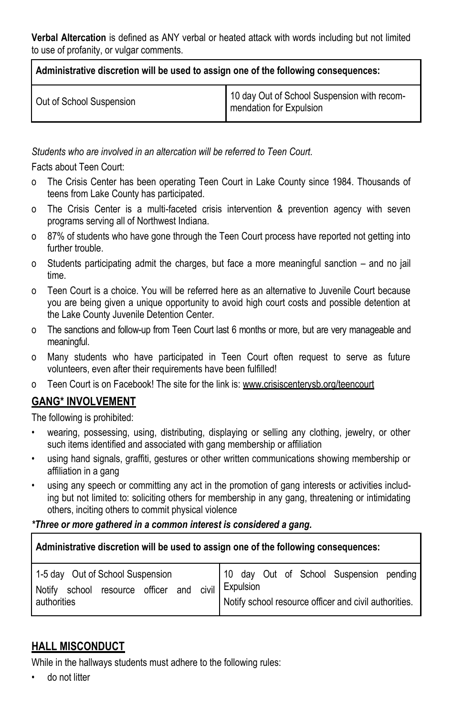**Verbal Altercation** is defined as ANY verbal or heated attack with words including but not limited to use of profanity, or vulgar comments.

| Administrative discretion will be used to assign one of the following consequences: |                                                                        |  |  |  |  |
|-------------------------------------------------------------------------------------|------------------------------------------------------------------------|--|--|--|--|
| Out of School Suspension                                                            | 10 day Out of School Suspension with recom-<br>mendation for Expulsion |  |  |  |  |

*Students who are involved in an altercation will be referred to Teen Court.*

Facts about Teen Court:

- o The Crisis Center has been operating Teen Court in Lake County since 1984. Thousands of teens from Lake County has participated.
- o The Crisis Center is a multi-faceted crisis intervention & prevention agency with seven programs serving all of Northwest Indiana.
- o 87% of students who have gone through the Teen Court process have reported not getting into further trouble.
- o Students participating admit the charges, but face a more meaningful sanction and no jail time.
- o Teen Court is a choice. You will be referred here as an alternative to Juvenile Court because you are being given a unique opportunity to avoid high court costs and possible detention at the Lake County Juvenile Detention Center.
- o The sanctions and follow-up from Teen Court last 6 months or more, but are very manageable and meaningful.
- o Many students who have participated in Teen Court often request to serve as future volunteers, even after their requirements have been fulfilled!
- o Teen Court is on Facebook! The site for the link is: www.crisiscenterysb.org/teencourt

### **GANG\* INVOLVEMENT**

The following is prohibited:

- wearing, possessing, using, distributing, displaying or selling any clothing, jewelry, or other such items identified and associated with gang membership or affiliation
- using hand signals, graffiti, gestures or other written communications showing membership or affiliation in a gang
- using any speech or committing any act in the promotion of gang interests or activities including but not limited to: soliciting others for membership in any gang, threatening or intimidating others, inciting others to commit physical violence

#### *\*Three or more gathered in a common interest is considered a gang.*

**Administrative discretion will be used to assign one of the following consequences:**

| 1-5 day Out of School Suspension |  |                                    |  |  |                 |  | 10 day Out of School Suspension pending |                                                       |  |
|----------------------------------|--|------------------------------------|--|--|-----------------|--|-----------------------------------------|-------------------------------------------------------|--|
|                                  |  | Notify school resource officer and |  |  | civil Expulsion |  |                                         |                                                       |  |
| authorities                      |  |                                    |  |  |                 |  |                                         | Notify school resource officer and civil authorities. |  |

### **HALL MISCONDUCT**

While in the hallways students must adhere to the following rules:

• do not litter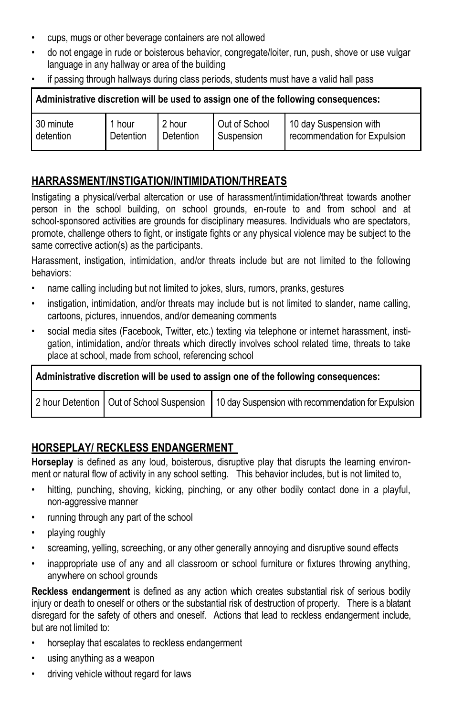- cups, mugs or other beverage containers are not allowed
- do not engage in rude or boisterous behavior, congregate/loiter, run, push, shove or use vulgar language in any hallway or area of the building
- if passing through hallways during class periods, students must have a valid hall pass

| Administrative discretion will be used to assign one of the following consequences: |           |           |               |                              |  |  |  |  |
|-------------------------------------------------------------------------------------|-----------|-----------|---------------|------------------------------|--|--|--|--|
| 30 minute                                                                           | 1 hour    | 2 hour    | Out of School | 10 day Suspension with       |  |  |  |  |
| detention                                                                           | Detention | Detention | Suspension    | recommendation for Expulsion |  |  |  |  |

### **HARRASSMENT/INSTIGATION/INTIMIDATION/THREATS**

Instigating a physical/verbal altercation or use of harassment/intimidation/threat towards another person in the school building, on school grounds, en-route to and from school and at school-sponsored activities are grounds for disciplinary measures. Individuals who are spectators, promote, challenge others to fight, or instigate fights or any physical violence may be subject to the same corrective action(s) as the participants.

Harassment, instigation, intimidation, and/or threats include but are not limited to the following behaviors:

- name calling including but not limited to jokes, slurs, rumors, pranks, gestures
- instigation, intimidation, and/or threats may include but is not limited to slander, name calling, cartoons, pictures, innuendos, and/or demeaning comments
- social media sites (Facebook, Twitter, etc.) texting via telephone or internet harassment, instigation, intimidation, and/or threats which directly involves school related time, threats to take place at school, made from school, referencing school

**Administrative discretion will be used to assign one of the following consequences:** 2 hour Detention | Out of School Suspension | 10 day Suspension with recommendation for Expulsion

### **HORSEPLAY/ RECKLESS ENDANGERMENT**

**Horseplay** is defined as any loud, boisterous, disruptive play that disrupts the learning environment or natural flow of activity in any school setting. This behavior includes, but is not limited to,

- hitting, punching, shoving, kicking, pinching, or any other bodily contact done in a playful, non-aggressive manner
- running through any part of the school
- playing roughly
- screaming, yelling, screeching, or any other generally annoying and disruptive sound effects
- inappropriate use of any and all classroom or school furniture or fixtures throwing anything, anywhere on school grounds

**Reckless endangerment** is defined as any action which creates substantial risk of serious bodily injury or death to oneself or others or the substantial risk of destruction of property. There is a blatant disregard for the safety of others and oneself. Actions that lead to reckless endangerment include, but are not limited to:

- horseplay that escalates to reckless endangerment
- using anything as a weapon
- driving vehicle without regard for laws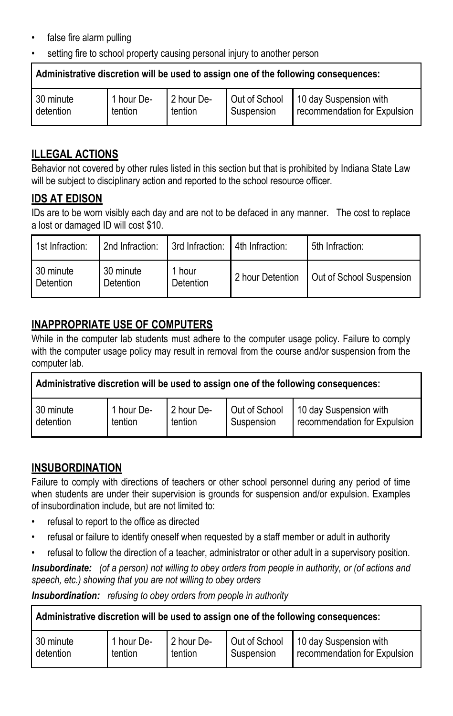- false fire alarm pulling
- setting fire to school property causing personal injury to another person

**Administrative discretion will be used to assign one of the following consequences:**

#### **ILLEGAL ACTIONS**

Behavior not covered by other rules listed in this section but that is prohibited by Indiana State Law will be subject to disciplinary action and reported to the school resource officer.

### **IDS AT EDISON**

IDs are to be worn visibly each day and are not to be defaced in any manner. The cost to replace a lost or damaged ID will cost \$10.

| 1st Infraction:        | 2nd Infraction:        | 3rd Infraction: 4th Infraction: | 5th Infraction:                             |
|------------------------|------------------------|---------------------------------|---------------------------------------------|
| 30 minute<br>Detention | 30 minute<br>Detention | 1 hour<br>Detention             | 2 hour Detention   Out of School Suspension |

### **INAPPROPRIATE USE OF COMPUTERS**

While in the computer lab students must adhere to the computer usage policy. Failure to comply with the computer usage policy may result in removal from the course and/or suspension from the computer lab.

| Administrative discretion will be used to assign one of the following consequences: |            |            |               |                              |  |
|-------------------------------------------------------------------------------------|------------|------------|---------------|------------------------------|--|
| 30 minute                                                                           | 1 hour De- | 2 hour De- | Out of School | 10 day Suspension with       |  |
| detention                                                                           | tention    | tention    | Suspension    | recommendation for Expulsion |  |

### **INSUBORDINATION**

Failure to comply with directions of teachers or other school personnel during any period of time when students are under their supervision is grounds for suspension and/or expulsion. Examples of insubordination include, but are not limited to:

- refusal to report to the office as directed
- refusal or failure to identify oneself when requested by a staff member or adult in authority
- refusal to follow the direction of a teacher, administrator or other adult in a supervisory position.

*Insubordinate: (of a person) not willing to obey orders from people in authority, or (of actions and speech, etc.) showing that you are not willing to obey orders*

*Insubordination: refusing to obey orders from people in authority*

| 30 minute | 1 hour De- | 2 hour De- | Suspension | Out of School 10 day Suspension with |
|-----------|------------|------------|------------|--------------------------------------|
| detention | tention    | tention    |            | recommendation for Expulsion         |
|           |            |            |            |                                      |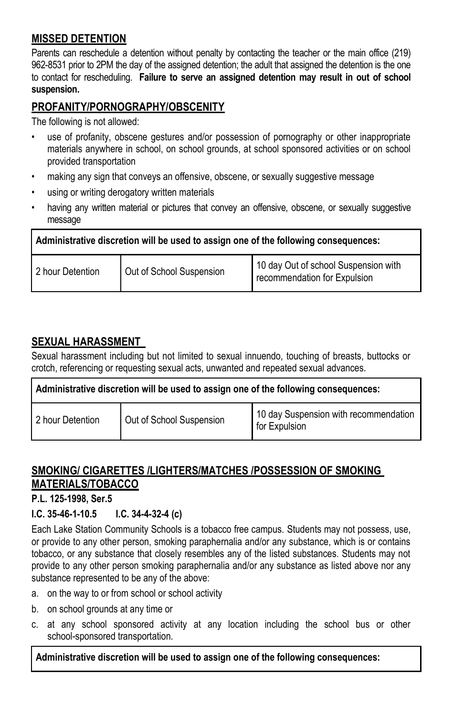### **MISSED DETENTION**

Parents can reschedule a detention without penalty by contacting the teacher or the main office (219) 962-8531 prior to 2PM the day of the assigned detention; the adult that assigned the detention is the one to contact for rescheduling. **Failure to serve an assigned detention may result in out of school suspension.**

### **PROFANITY/PORNOGRAPHY/OBSCENITY**

The following is not allowed:

- use of profanity, obscene gestures and/or possession of pornography or other inappropriate materials anywhere in school, on school grounds, at school sponsored activities or on school provided transportation
- making any sign that conveys an offensive, obscene, or sexually suggestive message
- using or writing derogatory written materials
- having any written material or pictures that convey an offensive, obscene, or sexually suggestive message

| Administrative discretion will be used to assign one of the following consequences: |                          |                                                                      |  |
|-------------------------------------------------------------------------------------|--------------------------|----------------------------------------------------------------------|--|
| 2 hour Detention                                                                    | Out of School Suspension | 10 day Out of school Suspension with<br>recommendation for Expulsion |  |

### **SEXUAL HARASSMENT**

Sexual harassment including but not limited to sexual innuendo, touching of breasts, buttocks or crotch, referencing or requesting sexual acts, unwanted and repeated sexual advances.

| Administrative discretion will be used to assign one of the following consequences: |                          |                                                        |  |  |
|-------------------------------------------------------------------------------------|--------------------------|--------------------------------------------------------|--|--|
| 2 hour Detention                                                                    | Out of School Suspension | 10 day Suspension with recommendation<br>for Expulsion |  |  |

### **SMOKING/ CIGARETTES /LIGHTERS/MATCHES /POSSESSION OF SMOKING MATERIALS/TOBACCO**

**P.L. 125-1998, Ser.5** 

#### **I.C. 35-46-1-10.5 I.C. 34-4-32-4 (c)**

Each Lake Station Community Schools is a tobacco free campus. Students may not possess, use, or provide to any other person, smoking paraphernalia and/or any substance, which is or contains tobacco, or any substance that closely resembles any of the listed substances. Students may not provide to any other person smoking paraphernalia and/or any substance as listed above nor any substance represented to be any of the above:

- a. on the way to or from school or school activity
- b. on school grounds at any time or
- c. at any school sponsored activity at any location including the school bus or other school-sponsored transportation.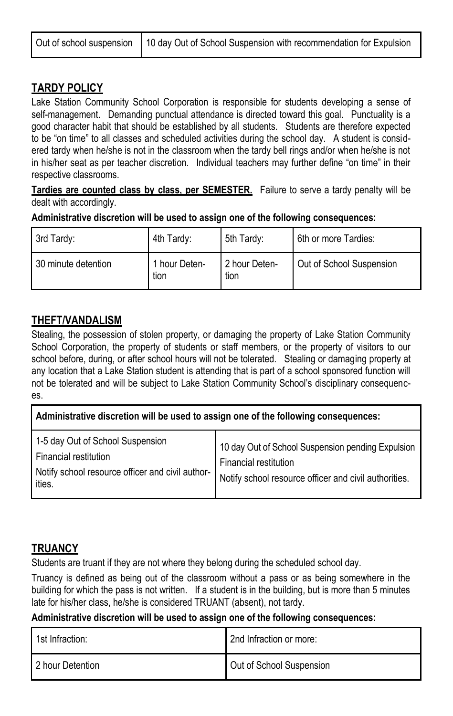#### **TARDY POLICY**

Lake Station Community School Corporation is responsible for students developing a sense of self-management. Demanding punctual attendance is directed toward this goal. Punctuality is a good character habit that should be established by all students. Students are therefore expected to be "on time" to all classes and scheduled activities during the school day. A student is considered tardy when he/she is not in the classroom when the tardy bell rings and/or when he/she is not in his/her seat as per teacher discretion. Individual teachers may further define "on time" in their respective classrooms.

**Tardies are counted class by class, per SEMESTER.** Failure to serve a tardy penalty will be dealt with accordingly.

**Administrative discretion will be used to assign one of the following consequences:**

| 3rd Tardy:          | 4th Tardy:            | 5th Tardy:            | 6th or more Tardies:     |
|---------------------|-----------------------|-----------------------|--------------------------|
| 30 minute detention | 1 hour Deten-<br>tion | 2 hour Deten-<br>tion | Out of School Suspension |

#### **THEFT/VANDALISM**

Stealing, the possession of stolen property, or damaging the property of Lake Station Community School Corporation, the property of students or staff members, or the property of visitors to our school before, during, or after school hours will not be tolerated. Stealing or damaging property at any location that a Lake Station student is attending that is part of a school sponsored function will not be tolerated and will be subject to Lake Station Community School's disciplinary consequences.

| Administrative discretion will be used to assign one of the following consequences:                                     |                                                                                                                                     |  |  |
|-------------------------------------------------------------------------------------------------------------------------|-------------------------------------------------------------------------------------------------------------------------------------|--|--|
| 1-5 day Out of School Suspension<br>Financial restitution<br>Notify school resource officer and civil author-<br>ities. | 10 day Out of School Suspension pending Expulsion<br>Financial restitution<br>Notify school resource officer and civil authorities. |  |  |

### **TRUANCY**

Students are truant if they are not where they belong during the scheduled school day.

Truancy is defined as being out of the classroom without a pass or as being somewhere in the building for which the pass is not written. If a student is in the building, but is more than 5 minutes late for his/her class, he/she is considered TRUANT (absent), not tardy.

| 1st Infraction:  | 2nd Infraction or more:  |
|------------------|--------------------------|
| 2 hour Detention | Out of School Suspension |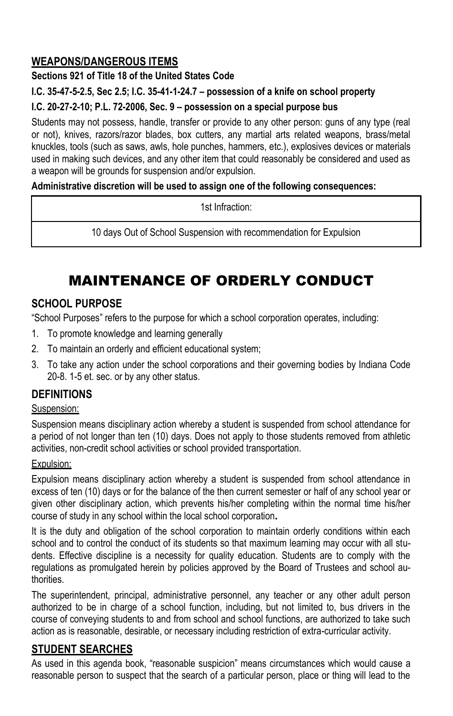### **WEAPONS/DANGEROUS ITEMS**

### **Sections 921 of Title 18 of the United States Code**

### **I.C. 35-47-5-2.5, Sec 2.5; I.C. 35-41-1-24.7 – possession of a knife on school property**

### **I.C. 20-27-2-10; P.L. 72-2006, Sec. 9 – possession on a special purpose bus**

Students may not possess, handle, transfer or provide to any other person: guns of any type (real or not), knives, razors/razor blades, box cutters, any martial arts related weapons, brass/metal knuckles, tools (such as saws, awls, hole punches, hammers, etc.), explosives devices or materials used in making such devices, and any other item that could reasonably be considered and used as a weapon will be grounds for suspension and/or expulsion.

### **Administrative discretion will be used to assign one of the following consequences:**

1st Infraction:

10 days Out of School Suspension with recommendation for Expulsion

# MAINTENANCE OF ORDERLY CONDUCT

## **SCHOOL PURPOSE**

"School Purposes" refers to the purpose for which a school corporation operates, including:

- 1. To promote knowledge and learning generally
- 2. To maintain an orderly and efficient educational system;
- 3. To take any action under the school corporations and their governing bodies by Indiana Code 20-8. 1-5 et. sec. or by any other status.

### **DEFINITIONS**

### Suspension:

Suspension means disciplinary action whereby a student is suspended from school attendance for a period of not longer than ten (10) days. Does not apply to those students removed from athletic activities, non-credit school activities or school provided transportation.

### Expulsion:

Expulsion means disciplinary action whereby a student is suspended from school attendance in excess of ten (10) days or for the balance of the then current semester or half of any school year or given other disciplinary action, which prevents his/her completing within the normal time his/her course of study in any school within the local school corporation**.**

It is the duty and obligation of the school corporation to maintain orderly conditions within each school and to control the conduct of its students so that maximum learning may occur with all students. Effective discipline is a necessity for quality education. Students are to comply with the regulations as promulgated herein by policies approved by the Board of Trustees and school authorities.

The superintendent, principal, administrative personnel, any teacher or any other adult person authorized to be in charge of a school function, including, but not limited to, bus drivers in the course of conveying students to and from school and school functions, are authorized to take such action as is reasonable, desirable, or necessary including restriction of extra-curricular activity.

### **STUDENT SEARCHES**

As used in this agenda book, "reasonable suspicion" means circumstances which would cause a reasonable person to suspect that the search of a particular person, place or thing will lead to the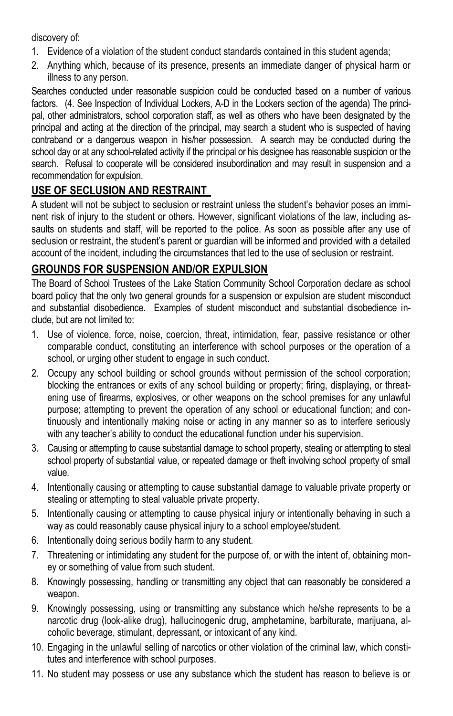#### discovery of:

- 1. Evidence of a violation of the student conduct standards contained in this student agenda;
- 2. Anything which, because of its presence, presents an immediate danger of physical harm or illness to any person.

Searches conducted under reasonable suspicion could be conducted based on a number of various factors. (4. See Inspection of Individual Lockers, A-D in the Lockers section of the agenda) The principal, other administrators, school corporation staff, as well as others who have been designated by the principal and acting at the direction of the principal, may search a student who is suspected of having contraband or a dangerous weapon in his/her possession. A search may be conducted during the school day or at any school-related activity if the principal or his designee has reasonable suspicion or the search. Refusal to cooperate will be considered insubordination and may result in suspension and a recommendation for expulsion.

### **USE OF SECLUSION AND RESTRAINT**

A student will not be subject to seclusion or restraint unless the student's behavior poses an imminent risk of injury to the student or others. However, significant violations of the law, including assaults on students and staff, will be reported to the police. As soon as possible after any use of seclusion or restraint, the student's parent or guardian will be informed and provided with a detailed account of the incident, including the circumstances that led to the use of seclusion or restraint.

### **GROUNDS FOR SUSPENSION AND/OR EXPULSION**

The Board of School Trustees of the Lake Station Community School Corporation declare as school board policy that the only two general grounds for a suspension or expulsion are student misconduct and substantial disobedience. Examples of student misconduct and substantial disobedience include, but are not limited to:

- 1. Use of violence, force, noise, coercion, threat, intimidation, fear, passive resistance or other comparable conduct, constituting an interference with school purposes or the operation of a school, or urging other student to engage in such conduct.
- 2. Occupy any school building or school grounds without permission of the school corporation; blocking the entrances or exits of any school building or property; firing, displaying, or threatening use of firearms, explosives, or other weapons on the school premises for any unlawful purpose; attempting to prevent the operation of any school or educational function; and continuously and intentionally making noise or acting in any manner so as to interfere seriously with any teacher's ability to conduct the educational function under his supervision.
- 3. Causing or attempting to cause substantial damage to school property, stealing or attempting to steal school property of substantial value, or repeated damage or theft involving school property of small value.
- 4. Intentionally causing or attempting to cause substantial damage to valuable private property or stealing or attempting to steal valuable private property.
- 5. Intentionally causing or attempting to cause physical injury or intentionally behaving in such a way as could reasonably cause physical injury to a school employee/student.
- 6. Intentionally doing serious bodily harm to any student.
- 7. Threatening or intimidating any student for the purpose of, or with the intent of, obtaining money or something of value from such student.
- 8. Knowingly possessing, handling or transmitting any object that can reasonably be considered a weapon.
- 9. Knowingly possessing, using or transmitting any substance which he/she represents to be a narcotic drug (look-alike drug), hallucinogenic drug, amphetamine, barbiturate, marijuana, alcoholic beverage, stimulant, depressant, or intoxicant of any kind.
- 10. Engaging in the unlawful selling of narcotics or other violation of the criminal law, which constitutes and interference with school purposes.
- 11. No student may possess or use any substance which the student has reason to believe is or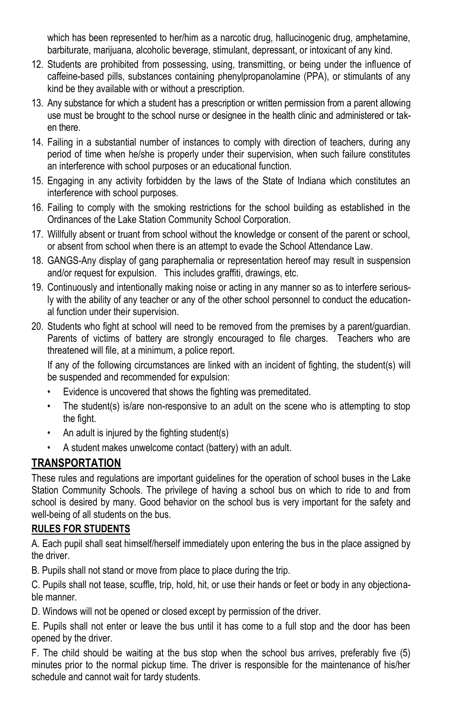which has been represented to her/him as a narcotic drug, hallucinogenic drug, amphetamine, barbiturate, marijuana, alcoholic beverage, stimulant, depressant, or intoxicant of any kind.

- 12. Students are prohibited from possessing, using, transmitting, or being under the influence of caffeine-based pills, substances containing phenylpropanolamine (PPA), or stimulants of any kind be they available with or without a prescription.
- 13. Any substance for which a student has a prescription or written permission from a parent allowing use must be brought to the school nurse or designee in the health clinic and administered or taken there.
- 14. Failing in a substantial number of instances to comply with direction of teachers, during any period of time when he/she is properly under their supervision, when such failure constitutes an interference with school purposes or an educational function.
- 15. Engaging in any activity forbidden by the laws of the State of Indiana which constitutes an interference with school purposes.
- 16. Failing to comply with the smoking restrictions for the school building as established in the Ordinances of the Lake Station Community School Corporation.
- 17. Willfully absent or truant from school without the knowledge or consent of the parent or school, or absent from school when there is an attempt to evade the School Attendance Law.
- 18. GANGS-Any display of gang paraphernalia or representation hereof may result in suspension and/or request for expulsion. This includes graffiti, drawings, etc.
- 19. Continuously and intentionally making noise or acting in any manner so as to interfere seriously with the ability of any teacher or any of the other school personnel to conduct the educational function under their supervision.
- 20. Students who fight at school will need to be removed from the premises by a parent/guardian. Parents of victims of battery are strongly encouraged to file charges. Teachers who are threatened will file, at a minimum, a police report.

If any of the following circumstances are linked with an incident of fighting, the student(s) will be suspended and recommended for expulsion:

- Evidence is uncovered that shows the fighting was premeditated.
- The student(s) is/are non-responsive to an adult on the scene who is attempting to stop the fight.
- An adult is injured by the fighting student(s)
- A student makes unwelcome contact (battery) with an adult.

### **TRANSPORTATION**

These rules and regulations are important guidelines for the operation of school buses in the Lake Station Community Schools. The privilege of having a school bus on which to ride to and from school is desired by many. Good behavior on the school bus is very important for the safety and well-being of all students on the bus.

#### **RULES FOR STUDENTS**

A. Each pupil shall seat himself/herself immediately upon entering the bus in the place assigned by the driver.

B. Pupils shall not stand or move from place to place during the trip.

C. Pupils shall not tease, scuffle, trip, hold, hit, or use their hands or feet or body in any objectionable manner.

D. Windows will not be opened or closed except by permission of the driver.

E. Pupils shall not enter or leave the bus until it has come to a full stop and the door has been opened by the driver.

F. The child should be waiting at the bus stop when the school bus arrives, preferably five (5) minutes prior to the normal pickup time. The driver is responsible for the maintenance of his/her schedule and cannot wait for tardy students.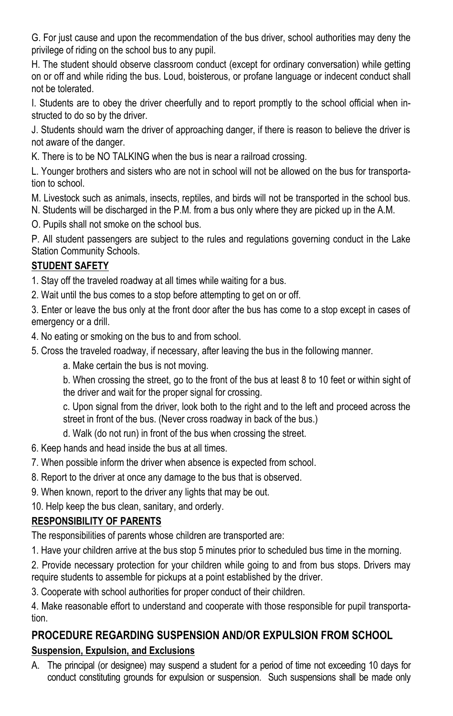G. For just cause and upon the recommendation of the bus driver, school authorities may deny the privilege of riding on the school bus to any pupil.

H. The student should observe classroom conduct (except for ordinary conversation) while getting on or off and while riding the bus. Loud, boisterous, or profane language or indecent conduct shall not be tolerated.

I. Students are to obey the driver cheerfully and to report promptly to the school official when instructed to do so by the driver.

J. Students should warn the driver of approaching danger, if there is reason to believe the driver is not aware of the danger.

K. There is to be NO TALKING when the bus is near a railroad crossing.

L. Younger brothers and sisters who are not in school will not be allowed on the bus for transportation to school.

M. Livestock such as animals, insects, reptiles, and birds will not be transported in the school bus. N. Students will be discharged in the P.M. from a bus only where they are picked up in the A.M.

O. Pupils shall not smoke on the school bus.

P. All student passengers are subject to the rules and regulations governing conduct in the Lake Station Community Schools.

### **STUDENT SAFETY**

1. Stay off the traveled roadway at all times while waiting for a bus.

2. Wait until the bus comes to a stop before attempting to get on or off.

3. Enter or leave the bus only at the front door after the bus has come to a stop except in cases of emergency or a drill.

4. No eating or smoking on the bus to and from school.

5. Cross the traveled roadway, if necessary, after leaving the bus in the following manner.

a. Make certain the bus is not moving.

b. When crossing the street, go to the front of the bus at least 8 to 10 feet or within sight of the driver and wait for the proper signal for crossing.

c. Upon signal from the driver, look both to the right and to the left and proceed across the street in front of the bus. (Never cross roadway in back of the bus.)

d. Walk (do not run) in front of the bus when crossing the street.

- 6. Keep hands and head inside the bus at all times.
- 7. When possible inform the driver when absence is expected from school.
- 8. Report to the driver at once any damage to the bus that is observed.
- 9. When known, report to the driver any lights that may be out.

10. Help keep the bus clean, sanitary, and orderly.

### **RESPONSIBILITY OF PARENTS**

The responsibilities of parents whose children are transported are:

1. Have your children arrive at the bus stop 5 minutes prior to scheduled bus time in the morning.

2. Provide necessary protection for your children while going to and from bus stops. Drivers may require students to assemble for pickups at a point established by the driver.

3. Cooperate with school authorities for proper conduct of their children.

4. Make reasonable effort to understand and cooperate with those responsible for pupil transportation.

### **PROCEDURE REGARDING SUSPENSION AND/OR EXPULSION FROM SCHOOL**

### **Suspension, Expulsion, and Exclusions**

A. The principal (or designee) may suspend a student for a period of time not exceeding 10 days for conduct constituting grounds for expulsion or suspension. Such suspensions shall be made only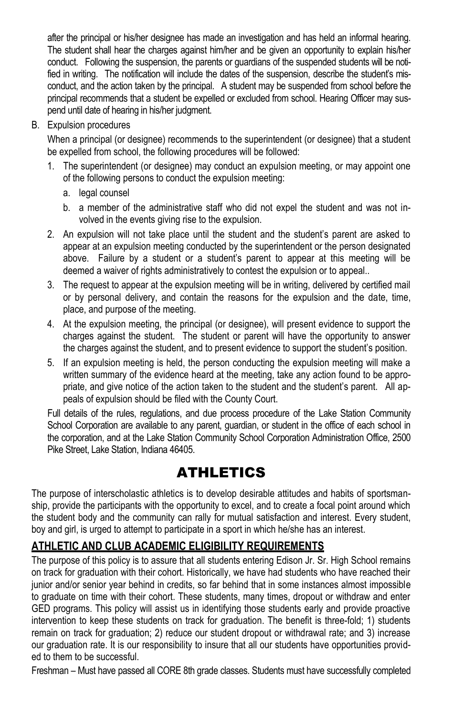after the principal or his/her designee has made an investigation and has held an informal hearing. The student shall hear the charges against him/her and be given an opportunity to explain his/her conduct. Following the suspension, the parents or guardians of the suspended students will be notified in writing. The notification will include the dates of the suspension, describe the student's misconduct, and the action taken by the principal. A student may be suspended from school before the principal recommends that a student be expelled or excluded from school. Hearing Officer may suspend until date of hearing in his/her judgment.

B. Expulsion procedures

When a principal (or designee) recommends to the superintendent (or designee) that a student be expelled from school, the following procedures will be followed:

- 1. The superintendent (or designee) may conduct an expulsion meeting, or may appoint one of the following persons to conduct the expulsion meeting:
	- a. legal counsel
	- b. a member of the administrative staff who did not expel the student and was not involved in the events giving rise to the expulsion.
- 2. An expulsion will not take place until the student and the student's parent are asked to appear at an expulsion meeting conducted by the superintendent or the person designated above. Failure by a student or a student's parent to appear at this meeting will be deemed a waiver of rights administratively to contest the expulsion or to appeal..
- 3. The request to appear at the expulsion meeting will be in writing, delivered by certified mail or by personal delivery, and contain the reasons for the expulsion and the date, time, place, and purpose of the meeting.
- 4. At the expulsion meeting, the principal (or designee), will present evidence to support the charges against the student. The student or parent will have the opportunity to answer the charges against the student, and to present evidence to support the student's position.
- 5. If an expulsion meeting is held, the person conducting the expulsion meeting will make a written summary of the evidence heard at the meeting, take any action found to be appropriate, and give notice of the action taken to the student and the student's parent. All appeals of expulsion should be filed with the County Court.

Full details of the rules, regulations, and due process procedure of the Lake Station Community School Corporation are available to any parent, guardian, or student in the office of each school in the corporation, and at the Lake Station Community School Corporation Administration Office, 2500 Pike Street, Lake Station, Indiana 46405.

# ATHLETICS

The purpose of interscholastic athletics is to develop desirable attitudes and habits of sportsmanship, provide the participants with the opportunity to excel, and to create a focal point around which the student body and the community can rally for mutual satisfaction and interest. Every student, boy and girl, is urged to attempt to participate in a sport in which he/she has an interest.

### **ATHLETIC AND CLUB ACADEMIC ELIGIBILITY REQUIREMENTS**

The purpose of this policy is to assure that all students entering Edison Jr. Sr. High School remains on track for graduation with their cohort. Historically, we have had students who have reached their junior and/or senior year behind in credits, so far behind that in some instances almost impossible to graduate on time with their cohort. These students, many times, dropout or withdraw and enter GED programs. This policy will assist us in identifying those students early and provide proactive intervention to keep these students on track for graduation. The benefit is three-fold; 1) students remain on track for graduation; 2) reduce our student dropout or withdrawal rate; and 3) increase our graduation rate. It is our responsibility to insure that all our students have opportunities provided to them to be successful.

Freshman – Must have passed all CORE 8th grade classes. Students must have successfully completed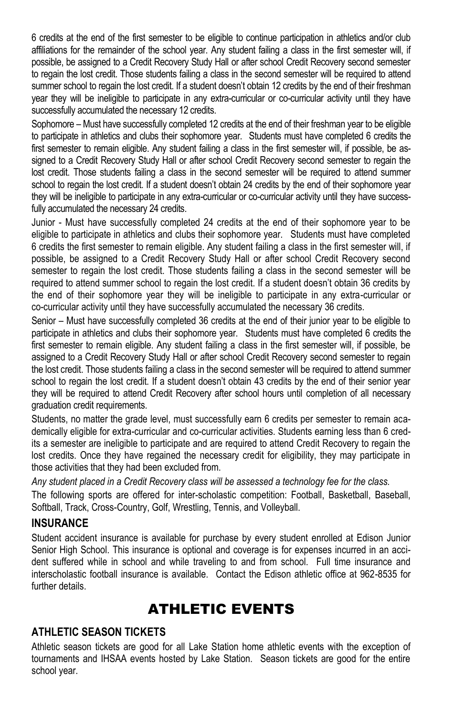6 credits at the end of the first semester to be eligible to continue participation in athletics and/or club affiliations for the remainder of the school year. Any student failing a class in the first semester will, if possible, be assigned to a Credit Recovery Study Hall or after school Credit Recovery second semester to regain the lost credit. Those students failing a class in the second semester will be required to attend summer school to regain the lost credit. If a student doesn't obtain 12 credits by the end of their freshman year they will be ineligible to participate in any extra-curricular or co-curricular activity until they have successfully accumulated the necessary 12 credits.

Sophomore – Must have successfully completed 12 credits at the end of their freshman year to be eligible to participate in athletics and clubs their sophomore year. Students must have completed 6 credits the first semester to remain eligible. Any student failing a class in the first semester will, if possible, be assigned to a Credit Recovery Study Hall or after school Credit Recovery second semester to regain the lost credit. Those students failing a class in the second semester will be required to attend summer school to regain the lost credit. If a student doesn't obtain 24 credits by the end of their sophomore year they will be ineligible to participate in any extra-curricular or co-curricular activity until they have successfully accumulated the necessary 24 credits.

Junior - Must have successfully completed 24 credits at the end of their sophomore year to be eligible to participate in athletics and clubs their sophomore year. Students must have completed 6 credits the first semester to remain eligible. Any student failing a class in the first semester will, if possible, be assigned to a Credit Recovery Study Hall or after school Credit Recovery second semester to regain the lost credit. Those students failing a class in the second semester will be required to attend summer school to regain the lost credit. If a student doesn't obtain 36 credits by the end of their sophomore year they will be ineligible to participate in any extra-curricular or co-curricular activity until they have successfully accumulated the necessary 36 credits.

Senior – Must have successfully completed 36 credits at the end of their junior year to be eligible to participate in athletics and clubs their sophomore year. Students must have completed 6 credits the first semester to remain eligible. Any student failing a class in the first semester will, if possible, be assigned to a Credit Recovery Study Hall or after school Credit Recovery second semester to regain the lost credit. Those students failing a class in the second semester will be required to attend summer school to regain the lost credit. If a student doesn't obtain 43 credits by the end of their senior year they will be required to attend Credit Recovery after school hours until completion of all necessary graduation credit requirements.

Students, no matter the grade level, must successfully earn 6 credits per semester to remain academically eligible for extra-curricular and co-curricular activities. Students earning less than 6 credits a semester are ineligible to participate and are required to attend Credit Recovery to regain the lost credits. Once they have regained the necessary credit for eligibility, they may participate in those activities that they had been excluded from.

*Any student placed in a Credit Recovery class will be assessed a technology fee for the class.*

The following sports are offered for inter-scholastic competition: Football, Basketball, Baseball, Softball, Track, Cross-Country, Golf, Wrestling, Tennis, and Volleyball.

#### **INSURANCE**

Student accident insurance is available for purchase by every student enrolled at Edison Junior Senior High School. This insurance is optional and coverage is for expenses incurred in an accident suffered while in school and while traveling to and from school. Full time insurance and interscholastic football insurance is available. Contact the Edison athletic office at 962-8535 for further details.

# ATHLETIC EVENTS

### **ATHLETIC SEASON TICKETS**

Athletic season tickets are good for all Lake Station home athletic events with the exception of tournaments and IHSAA events hosted by Lake Station. Season tickets are good for the entire school year.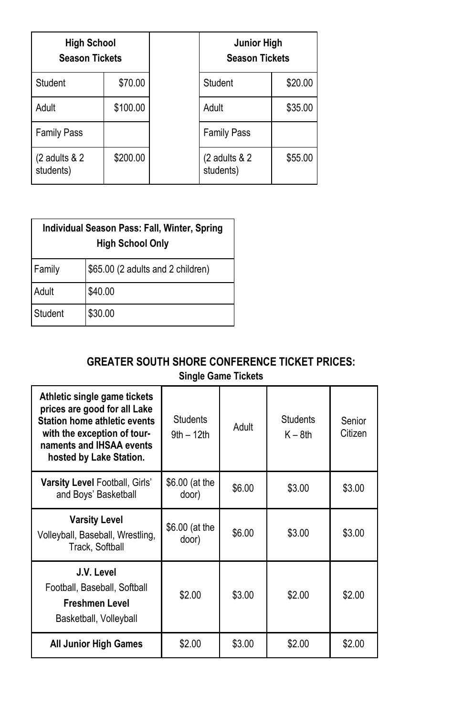| <b>High School</b><br><b>Season Tickets</b> |          | <b>Junior High</b><br><b>Season Tickets</b> |         |
|---------------------------------------------|----------|---------------------------------------------|---------|
| Student                                     | \$70.00  | Student                                     | \$20.00 |
| Adult                                       | \$100.00 | Adult                                       | \$35.00 |
| <b>Family Pass</b>                          |          | <b>Family Pass</b>                          |         |
| (2 adults & 2<br>students)                  | \$200.00 | (2 adults & 2<br>students)                  | \$55.00 |

| Individual Season Pass: Fall, Winter, Spring<br><b>High School Only</b> |                                   |  |
|-------------------------------------------------------------------------|-----------------------------------|--|
| Family                                                                  | \$65.00 (2 adults and 2 children) |  |
| Adult                                                                   | \$40.00                           |  |
| Student                                                                 | \$30.00                           |  |

# **GREATER SOUTH SHORE CONFERENCE TICKET PRICES:**

| <b>Single Game Tickets</b> |  |
|----------------------------|--|
|----------------------------|--|

| Athletic single game tickets<br>prices are good for all Lake<br><b>Station home athletic events</b><br>with the exception of tour-<br>naments and IHSAA events<br>hosted by Lake Station. | <b>Students</b><br>$9th - 12th$ | Adult  | <b>Students</b><br>$K - 8th$ | Senior<br>Citizen |
|-------------------------------------------------------------------------------------------------------------------------------------------------------------------------------------------|---------------------------------|--------|------------------------------|-------------------|
| Varsity Level Football, Girls'<br>and Boys' Basketball                                                                                                                                    | \$6.00 (at the<br>door)         | \$6.00 | \$3.00                       | \$3.00            |
| <b>Varsity Level</b><br>Volleyball, Baseball, Wrestling,<br>Track, Softball                                                                                                               | \$6.00 (at the<br>door)         | \$6.00 | \$3.00                       | \$3.00            |
| J.V. Level<br>Football, Baseball, Softball<br>Freshmen Level<br>Basketball, Volleyball                                                                                                    | \$2.00                          | \$3.00 | \$2.00                       | \$2.00            |
| <b>All Junior High Games</b>                                                                                                                                                              | \$2.00                          | \$3.00 | \$2.00                       | \$2.00            |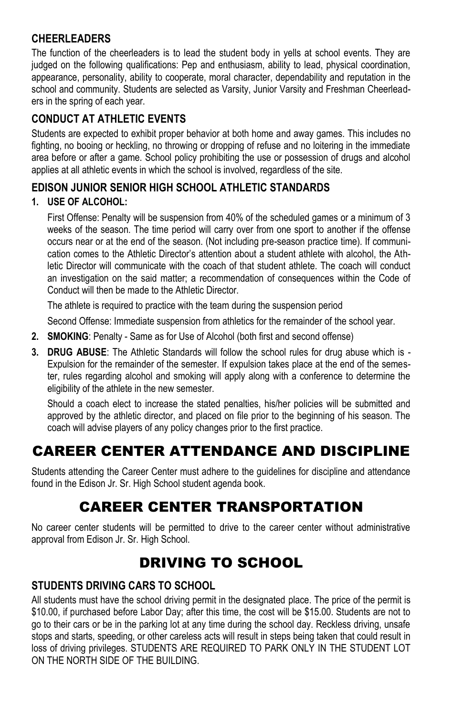### **CHEERLEADERS**

The function of the cheerleaders is to lead the student body in yells at school events. They are judged on the following qualifications: Pep and enthusiasm, ability to lead, physical coordination, appearance, personality, ability to cooperate, moral character, dependability and reputation in the school and community. Students are selected as Varsity, Junior Varsity and Freshman Cheerleaders in the spring of each year.

### **CONDUCT AT ATHLETIC EVENTS**

Students are expected to exhibit proper behavior at both home and away games. This includes no fighting, no booing or heckling, no throwing or dropping of refuse and no loitering in the immediate area before or after a game. School policy prohibiting the use or possession of drugs and alcohol applies at all athletic events in which the school is involved, regardless of the site.

### **EDISON JUNIOR SENIOR HIGH SCHOOL ATHLETIC STANDARDS**

### **1. USE OF ALCOHOL:**

First Offense: Penalty will be suspension from 40% of the scheduled games or a minimum of 3 weeks of the season. The time period will carry over from one sport to another if the offense occurs near or at the end of the season. (Not including pre-season practice time). If communication comes to the Athletic Director's attention about a student athlete with alcohol, the Athletic Director will communicate with the coach of that student athlete. The coach will conduct an investigation on the said matter; a recommendation of consequences within the Code of Conduct will then be made to the Athletic Director.

The athlete is required to practice with the team during the suspension period

Second Offense: Immediate suspension from athletics for the remainder of the school year.

- **2. SMOKING**: Penalty Same as for Use of Alcohol (both first and second offense)
- **3. DRUG ABUSE**: The Athletic Standards will follow the school rules for drug abuse which is Expulsion for the remainder of the semester. If expulsion takes place at the end of the semester, rules regarding alcohol and smoking will apply along with a conference to determine the eligibility of the athlete in the new semester.

Should a coach elect to increase the stated penalties, his/her policies will be submitted and approved by the athletic director, and placed on file prior to the beginning of his season. The coach will advise players of any policy changes prior to the first practice.

# CAREER CENTER ATTENDANCE AND DISCIPLINE

Students attending the Career Center must adhere to the guidelines for discipline and attendance found in the Edison Jr. Sr. High School student agenda book.

# CAREER CENTER TRANSPORTATION

No career center students will be permitted to drive to the career center without administrative approval from Edison Jr. Sr. High School.

# DRIVING TO SCHOOL

### **STUDENTS DRIVING CARS TO SCHOOL**

All students must have the school driving permit in the designated place. The price of the permit is \$10.00, if purchased before Labor Day; after this time, the cost will be \$15.00. Students are not to go to their cars or be in the parking lot at any time during the school day. Reckless driving, unsafe stops and starts, speeding, or other careless acts will result in steps being taken that could result in loss of driving privileges. STUDENTS ARE REQUIRED TO PARK ONLY IN THE STUDENT LOT ON THE NORTH SIDE OF THE BUILDING.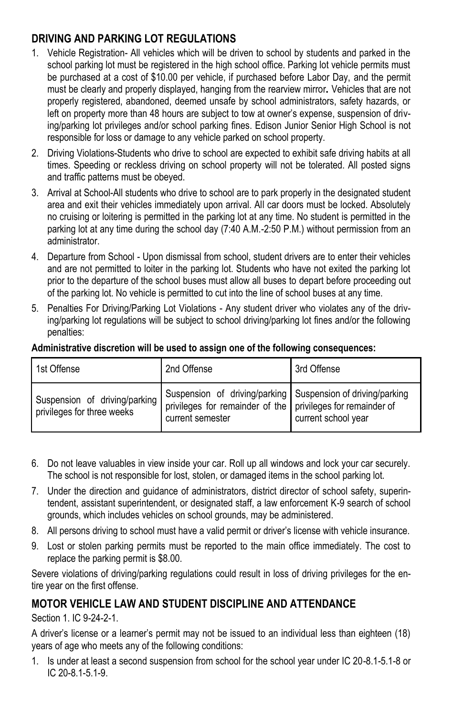### **DRIVING AND PARKING LOT REGULATIONS**

- 1. Vehicle Registration- All vehicles which will be driven to school by students and parked in the school parking lot must be registered in the high school office. Parking lot vehicle permits must be purchased at a cost of \$10.00 per vehicle, if purchased before Labor Day, and the permit must be clearly and properly displayed, hanging from the rearview mirror*.* Vehicles that are not properly registered, abandoned, deemed unsafe by school administrators, safety hazards, or left on property more than 48 hours are subject to tow at owner's expense, suspension of driving/parking lot privileges and/or school parking fines. Edison Junior Senior High School is not responsible for loss or damage to any vehicle parked on school property.
- 2. Driving Violations-Students who drive to school are expected to exhibit safe driving habits at all times. Speeding or reckless driving on school property will not be tolerated. All posted signs and traffic patterns must be obeyed.
- 3. Arrival at School-All students who drive to school are to park properly in the designated student area and exit their vehicles immediately upon arrival. All car doors must be locked. Absolutely no cruising or loitering is permitted in the parking lot at any time. No student is permitted in the parking lot at any time during the school day (7:40 A.M.-2:50 P.M.) without permission from an administrator.
- 4. Departure from School Upon dismissal from school, student drivers are to enter their vehicles and are not permitted to loiter in the parking lot. Students who have not exited the parking lot prior to the departure of the school buses must allow all buses to depart before proceeding out of the parking lot. No vehicle is permitted to cut into the line of school buses at any time.
- 5. Penalties For Driving/Parking Lot Violations Any student driver who violates any of the driving/parking lot regulations will be subject to school driving/parking lot fines and/or the following penalties:

#### **Administrative discretion will be used to assign one of the following consequences:**

| 1st Offense                                                 | 2nd Offense                                                                                                                                    | 3rd Offense         |
|-------------------------------------------------------------|------------------------------------------------------------------------------------------------------------------------------------------------|---------------------|
| Suspension of driving/parking<br>privileges for three weeks | Suspension of driving/parking Suspension of driving/parking<br>privileges for remainder of the privileges for remainder of<br>current semester | current school year |

- 6. Do not leave valuables in view inside your car. Roll up all windows and lock your car securely. The school is not responsible for lost, stolen, or damaged items in the school parking lot.
- 7. Under the direction and guidance of administrators, district director of school safety, superintendent, assistant superintendent, or designated staff, a law enforcement K-9 search of school grounds, which includes vehicles on school grounds, may be administered.
- 8. All persons driving to school must have a valid permit or driver's license with vehicle insurance.
- 9. Lost or stolen parking permits must be reported to the main office immediately. The cost to replace the parking permit is \$8.00.

Severe violations of driving/parking regulations could result in loss of driving privileges for the entire year on the first offense.

### **MOTOR VEHICLE LAW AND STUDENT DISCIPLINE AND ATTENDANCE**

Section 1. IC 9-24-2-1.

A driver's license or a learner's permit may not be issued to an individual less than eighteen (18) years of age who meets any of the following conditions:

1. Is under at least a second suspension from school for the school year under IC 20-8.1-5.1-8 or IC 20-8.1-5.1-9.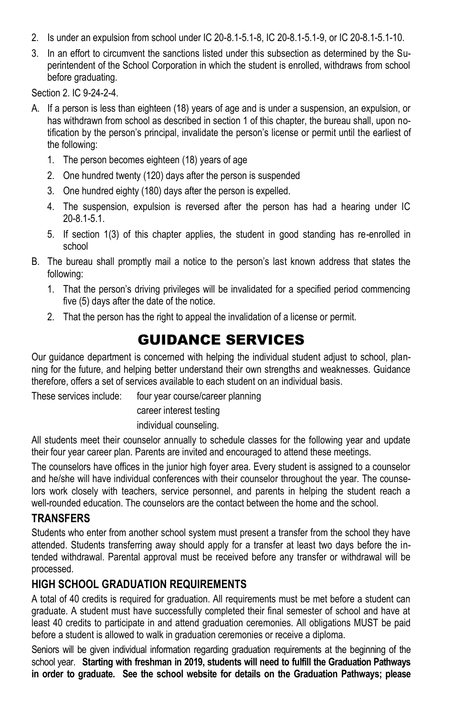- 2. Is under an expulsion from school under IC 20-8.1-5.1-8, IC 20-8.1-5.1-9, or IC 20-8.1-5.1-10.
- 3. In an effort to circumvent the sanctions listed under this subsection as determined by the Superintendent of the School Corporation in which the student is enrolled, withdraws from school before graduating.

Section 2. IC 9-24-2-4.

- A. If a person is less than eighteen (18) years of age and is under a suspension, an expulsion, or has withdrawn from school as described in section 1 of this chapter, the bureau shall, upon notification by the person's principal, invalidate the person's license or permit until the earliest of the following:
	- 1. The person becomes eighteen (18) years of age
	- 2. One hundred twenty (120) days after the person is suspended
	- 3. One hundred eighty (180) days after the person is expelled.
	- 4. The suspension, expulsion is reversed after the person has had a hearing under IC 20-8.1-5.1.
	- 5. If section 1(3) of this chapter applies, the student in good standing has re-enrolled in school
- B. The bureau shall promptly mail a notice to the person's last known address that states the following:
	- 1. That the person's driving privileges will be invalidated for a specified period commencing five (5) days after the date of the notice.
	- 2. That the person has the right to appeal the invalidation of a license or permit.

# GUIDANCE SERVICES

Our guidance department is concerned with helping the individual student adjust to school, planning for the future, and helping better understand their own strengths and weaknesses. Guidance therefore, offers a set of services available to each student on an individual basis.

These services include: four year course/career planning

career interest testing

individual counseling.

All students meet their counselor annually to schedule classes for the following year and update their four year career plan. Parents are invited and encouraged to attend these meetings.

The counselors have offices in the junior high foyer area. Every student is assigned to a counselor and he/she will have individual conferences with their counselor throughout the year. The counselors work closely with teachers, service personnel, and parents in helping the student reach a well-rounded education. The counselors are the contact between the home and the school.

#### **TRANSFERS**

Students who enter from another school system must present a transfer from the school they have attended. Students transferring away should apply for a transfer at least two days before the intended withdrawal. Parental approval must be received before any transfer or withdrawal will be processed.

### **HIGH SCHOOL GRADUATION REQUIREMENTS**

A total of 40 credits is required for graduation. All requirements must be met before a student can graduate. A student must have successfully completed their final semester of school and have at least 40 credits to participate in and attend graduation ceremonies. All obligations MUST be paid before a student is allowed to walk in graduation ceremonies or receive a diploma.

Seniors will be given individual information regarding graduation requirements at the beginning of the school year. **Starting with freshman in 2019, students will need to fulfill the Graduation Pathways in order to graduate. See the school website for details on the Graduation Pathways; please**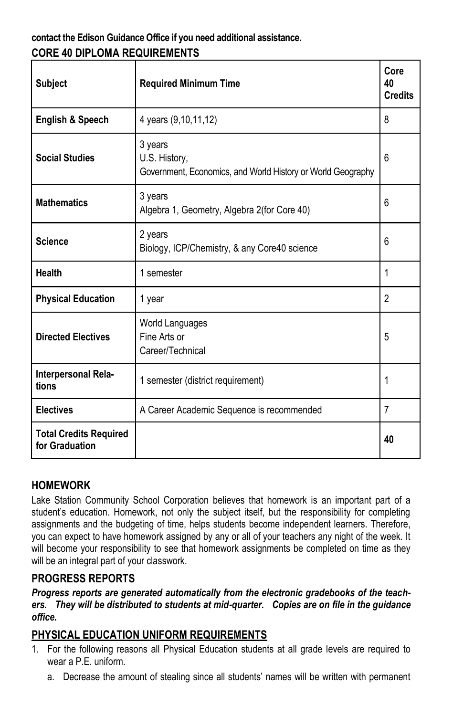### **contact the Edison Guidance Office if you need additional assistance. CORE 40 DIPLOMA REQUIREMENTS**

| <b>Subject</b>                                  | <b>Required Minimum Time</b>                                                            | Core<br>40<br><b>Credits</b> |
|-------------------------------------------------|-----------------------------------------------------------------------------------------|------------------------------|
| <b>English &amp; Speech</b>                     | 4 years (9,10,11,12)                                                                    | 8                            |
| <b>Social Studies</b>                           | 3 years<br>U.S. History,<br>Government, Economics, and World History or World Geography | 6                            |
| <b>Mathematics</b>                              | 3 years<br>Algebra 1, Geometry, Algebra 2(for Core 40)                                  | 6                            |
| <b>Science</b>                                  | 2 years<br>Biology, ICP/Chemistry, & any Core40 science                                 | 6                            |
| Health                                          | 1 semester                                                                              | 1                            |
| <b>Physical Education</b>                       | 1 year                                                                                  | $\overline{2}$               |
| <b>Directed Electives</b>                       | World Languages<br>Fine Arts or<br>Career/Technical                                     | 5                            |
| Interpersonal Rela-<br>tions                    | 1 semester (district requirement)                                                       | 1                            |
| <b>Electives</b>                                | A Career Academic Sequence is recommended                                               | 7                            |
| <b>Total Credits Required</b><br>for Graduation |                                                                                         | 40                           |

### **HOMEWORK**

Lake Station Community School Corporation believes that homework is an important part of a student's education. Homework, not only the subject itself, but the responsibility for completing assignments and the budgeting of time, helps students become independent learners. Therefore, you can expect to have homework assigned by any or all of your teachers any night of the week. It will become your responsibility to see that homework assignments be completed on time as they will be an integral part of your classwork.

#### **PROGRESS REPORTS**

#### *Progress reports are generated automatically from the electronic gradebooks of the teachers. They will be distributed to students at mid-quarter. Copies are on file in the guidance office.*

### **PHYSICAL EDUCATION UNIFORM REQUIREMENTS**

- 1. For the following reasons all Physical Education students at all grade levels are required to wear a P.E. uniform.
	- a. Decrease the amount of stealing since all students' names will be written with permanent